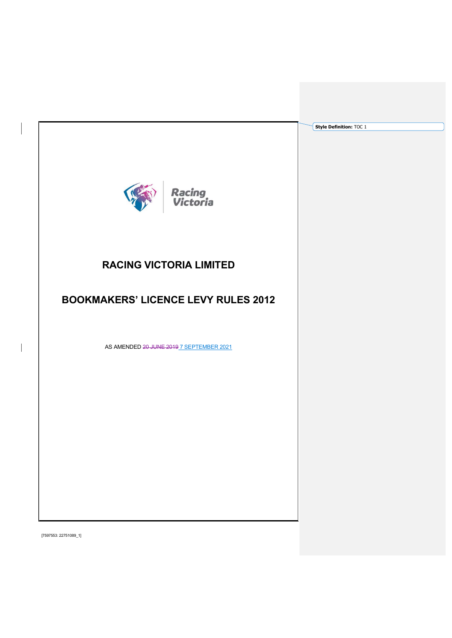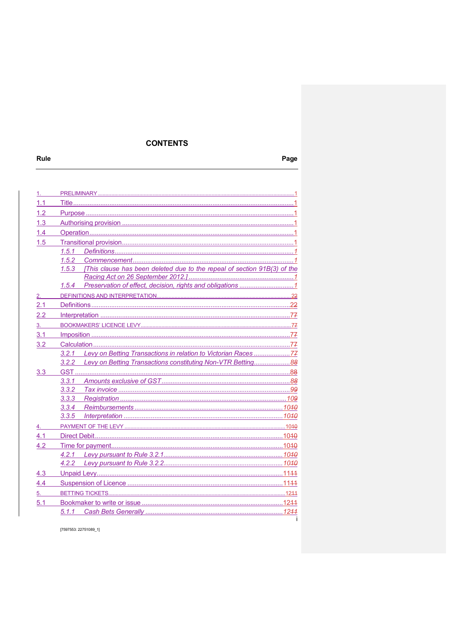# **CONTENTS**

| 1.1 |       |                                                                          |  |
|-----|-------|--------------------------------------------------------------------------|--|
| 1.2 |       |                                                                          |  |
| 1.3 |       |                                                                          |  |
| 1.4 |       |                                                                          |  |
| 1.5 |       |                                                                          |  |
|     | 1.5.1 |                                                                          |  |
|     | 1.5.2 |                                                                          |  |
|     | 1.5.3 | [This clause has been deleted due to the repeal of section 91B(3) of the |  |
|     |       |                                                                          |  |
|     | 1.5.4 |                                                                          |  |
|     |       |                                                                          |  |
| 2.1 |       |                                                                          |  |
| 2.2 |       |                                                                          |  |
| 3.  |       |                                                                          |  |
| 3.1 |       |                                                                          |  |
| 3.2 |       |                                                                          |  |
|     | 3.2.1 | Levy on Betting Transactions in relation to Victorian Races 77           |  |
|     | 3.2.2 | Levy on Betting Transactions constituting Non-VTR Betting88              |  |
| 3.3 |       |                                                                          |  |
|     | 3.3.1 |                                                                          |  |
|     | 3.3.2 |                                                                          |  |
|     | 3.3.3 |                                                                          |  |
|     | 3.3.4 |                                                                          |  |
|     | 3.3.5 |                                                                          |  |
|     |       |                                                                          |  |
| 4.1 |       |                                                                          |  |
| 4.2 |       |                                                                          |  |
|     | 4.2.1 |                                                                          |  |
|     | 4.2.2 |                                                                          |  |
| 4.3 |       |                                                                          |  |
| 4.4 |       |                                                                          |  |
| 5.  |       |                                                                          |  |
| 5.1 |       |                                                                          |  |
|     | 5.1.1 | Cash Bets Generally ……………………………………………………………………………12 <del>11</del>        |  |
|     |       |                                                                          |  |

[7597553: 22751089\_1]

Rule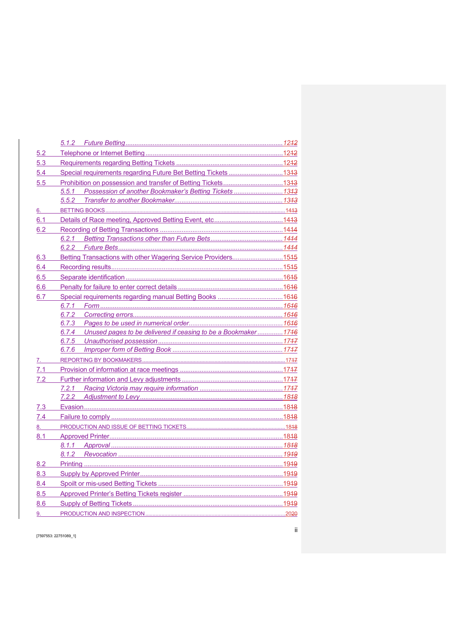| 5.2 |                                                                     |  |
|-----|---------------------------------------------------------------------|--|
| 5.3 |                                                                     |  |
| 5.4 | Special requirements regarding Future Bet Betting Tickets 1343      |  |
| 5.5 |                                                                     |  |
|     | Possession of another Bookmaker's Betting Tickets  1343<br>5.5.1    |  |
|     |                                                                     |  |
| 6.  |                                                                     |  |
| 6.1 |                                                                     |  |
| 6.2 |                                                                     |  |
|     | 6.2.1                                                               |  |
|     |                                                                     |  |
| 6.3 | Betting Transactions with other Wagering Service Providers1545      |  |
| 6.4 |                                                                     |  |
| 6.5 |                                                                     |  |
| 6.6 |                                                                     |  |
| 6.7 |                                                                     |  |
|     |                                                                     |  |
|     | 6.7.2                                                               |  |
|     |                                                                     |  |
|     | 6.7.4 Unused pages to be delivered if ceasing to be a Bookmaker1746 |  |
|     |                                                                     |  |
|     |                                                                     |  |
| 7.  |                                                                     |  |
| 7.1 |                                                                     |  |
| 7.2 |                                                                     |  |
|     |                                                                     |  |
|     | 7.2.2                                                               |  |
| 7.3 |                                                                     |  |
| 7.4 |                                                                     |  |
| 8.  |                                                                     |  |
| 8.1 |                                                                     |  |
|     |                                                                     |  |
|     |                                                                     |  |
| 8.2 |                                                                     |  |
| 8.3 |                                                                     |  |
| 8.4 |                                                                     |  |
| 8.5 |                                                                     |  |
| 8.6 |                                                                     |  |
| 9.  |                                                                     |  |

[7597553: 22751089\_1]

ii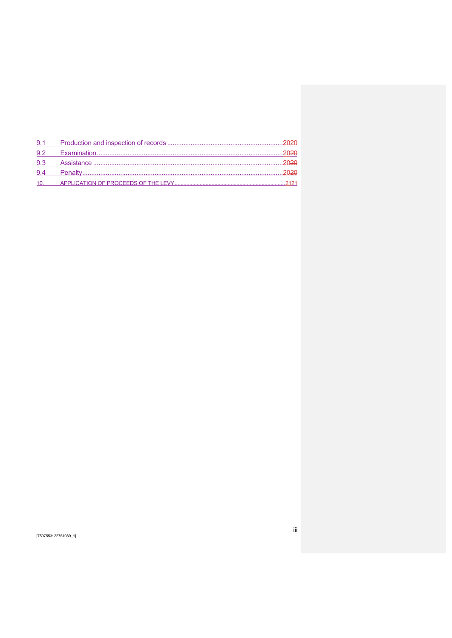| 9.1 |  |
|-----|--|
|     |  |
| 9.3 |  |
| 9.4 |  |
| 10. |  |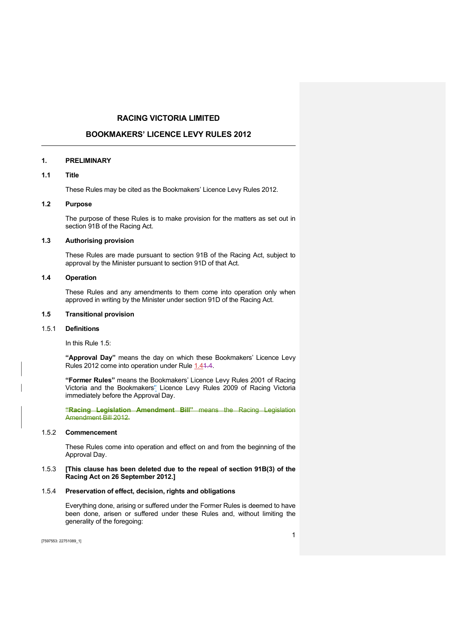# RACING VICTORIA LIMITED

# BOOKMAKERS' LICENCE LEVY RULES 2012

### 1. PRELIMINARY

# 1.1 Title

These Rules may be cited as the Bookmakers' Licence Levy Rules 2012.

# 1.2 Purpose

The purpose of these Rules is to make provision for the matters as set out in section 91B of the Racing Act.

# 1.3 Authorising provision

These Rules are made pursuant to section 91B of the Racing Act, subject to approval by the Minister pursuant to section 91D of that Act.

# 1.4 Operation

These Rules and any amendments to them come into operation only when approved in writing by the Minister under section 91D of the Racing Act.

# 1.5 Transitional provision

### 1.5.1 Definitions

In this Rule 1.5:

"Approval Day" means the day on which these Bookmakers' Licence Levy Rules 2012 come into operation under Rule 1.41.4.

"Former Rules" means the Bookmakers' Licence Levy Rules 2001 of Racing Victoria and the Bookmakers'' Licence Levy Rules 2009 of Racing Victoria immediately before the Approval Day.

"Racing Legislation Amendment Bill" means the Racing Legislation Amendment Bill 2012.

#### 1.5.2 Commencement

These Rules come into operation and effect on and from the beginning of the Approval Day.

### 1.5.3 [This clause has been deleted due to the repeal of section 91B(3) of the Racing Act on 26 September 2012.]

#### 1.5.4 Preservation of effect, decision, rights and obligations

Everything done, arising or suffered under the Former Rules is deemed to have been done, arisen or suffered under these Rules and, without limiting the generality of the foregoing: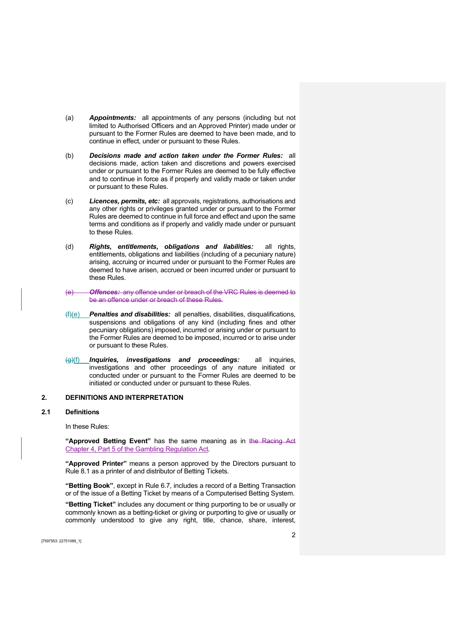- (a) **Appointments:** all appointments of any persons (including but not limited to Authorised Officers and an Approved Printer) made under or pursuant to the Former Rules are deemed to have been made, and to continue in effect, under or pursuant to these Rules.
- (b) Decisions made and action taken under the Former Rules: all decisions made, action taken and discretions and powers exercised under or pursuant to the Former Rules are deemed to be fully effective and to continue in force as if properly and validly made or taken under or pursuant to these Rules.
- (c) Licences, permits, etc: all approvals, registrations, authorisations and any other rights or privileges granted under or pursuant to the Former Rules are deemed to continue in full force and effect and upon the same terms and conditions as if properly and validly made under or pursuant to these Rules.
- (d) **Rights, entitlements, obligations and liabilities**: all rights, entitlements, obligations and liabilities (including of a pecuniary nature) arising, accruing or incurred under or pursuant to the Former Rules are deemed to have arisen, accrued or been incurred under or pursuant to these Rules.
- (e) Offences: any offence under or breach of the VRC Rules is deemed to be an offence under or breach of these Rules.
- $(f)(e)$  Penalties and disabilities: all penalties, disabilities, disqualifications, suspensions and obligations of any kind (including fines and other pecuniary obligations) imposed, incurred or arising under or pursuant to the Former Rules are deemed to be imposed, incurred or to arise under or pursuant to these Rules.
- (g)(f) Inquiries, investigations and proceedings: all inquiries, investigations and other proceedings of any nature initiated or conducted under or pursuant to the Former Rules are deemed to be initiated or conducted under or pursuant to these Rules.

#### 2. DEFINITIONS AND INTERPRETATION

#### 2.1 Definitions

In these Rules:

"Approved Betting Event" has the same meaning as in the Racing Act Chapter 4, Part 5 of the Gambling Regulation Act.

"Approved Printer" means a person approved by the Directors pursuant to Rule 8.1 as a printer of and distributor of Betting Tickets.

"Betting Book", except in Rule 6.7, includes a record of a Betting Transaction or of the issue of a Betting Ticket by means of a Computerised Betting System.

"Betting Ticket" includes any document or thing purporting to be or usually or commonly known as a betting-ticket or giving or purporting to give or usually or commonly understood to give any right, title, chance, share, interest,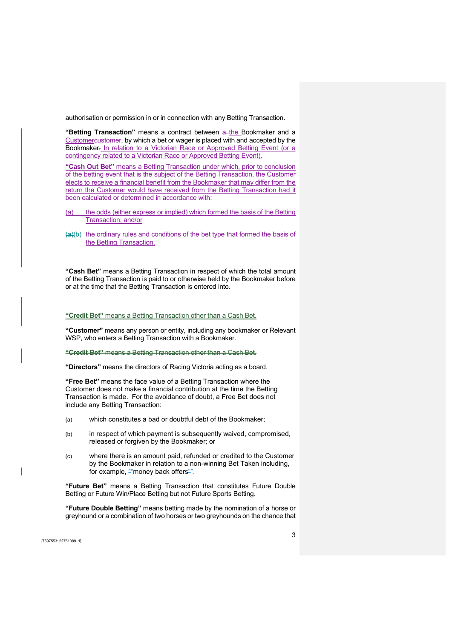authorisation or permission in or in connection with any Betting Transaction.

"Betting Transaction" means a contract between a the Bookmaker and a Customercustomer, by which a bet or wager is placed with and accepted by the Bookmaker. In relation to a Victorian Race or Approved Betting Event (or a contingency related to a Victorian Race or Approved Betting Event).

"Cash Out Bet" means a Betting Transaction under which, prior to conclusion of the betting event that is the subject of the Betting Transaction, the Customer elects to receive a financial benefit from the Bookmaker that may differ from the return the Customer would have received from the Betting Transaction had it been calculated or determined in accordance with:

- (a) the odds (either express or implied) which formed the basis of the Betting Transaction; and/or
- (a)(b) the ordinary rules and conditions of the bet type that formed the basis of the Betting Transaction.

"Cash Bet" means a Betting Transaction in respect of which the total amount of the Betting Transaction is paid to or otherwise held by the Bookmaker before or at the time that the Betting Transaction is entered into.

"Credit Bet" means a Betting Transaction other than a Cash Bet.

"Customer" means any person or entity, including any bookmaker or Relevant WSP, who enters a Betting Transaction with a Bookmaker.

"Credit Bet" means a Betting Transaction other than a Cash Bet.

"Directors" means the directors of Racing Victoria acting as a board.

"Free Bet" means the face value of a Betting Transaction where the Customer does not make a financial contribution at the time the Betting Transaction is made. For the avoidance of doubt, a Free Bet does not include any Betting Transaction:

- (a) which constitutes a bad or doubtful debt of the Bookmaker;
- (b) in respect of which payment is subsequently waived, compromised, released or forgiven by the Bookmaker; or
- (c) where there is an amount paid, refunded or credited to the Customer by the Bookmaker in relation to a non-winning Bet Taken including, for example, "money back offers".

"Future Bet" means a Betting Transaction that constitutes Future Double Betting or Future Win/Place Betting but not Future Sports Betting.

"Future Double Betting" means betting made by the nomination of a horse or greyhound or a combination of two horses or two greyhounds on the chance that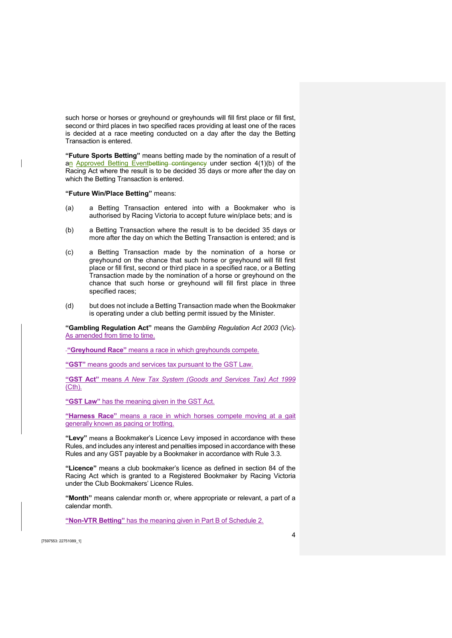such horse or horses or greyhound or greyhounds will fill first place or fill first, second or third places in two specified races providing at least one of the races is decided at a race meeting conducted on a day after the day the Betting Transaction is entered.

"Future Sports Betting" means betting made by the nomination of a result of an Approved Betting Eventbetting contingency under section 4(1)(b) of the Racing Act where the result is to be decided 35 days or more after the day on which the Betting Transaction is entered.

"Future Win/Place Betting" means:

- (a) a Betting Transaction entered into with a Bookmaker who is authorised by Racing Victoria to accept future win/place bets; and is
- (b) a Betting Transaction where the result is to be decided 35 days or more after the day on which the Betting Transaction is entered; and is
- (c) a Betting Transaction made by the nomination of a horse or greyhound on the chance that such horse or greyhound will fill first place or fill first, second or third place in a specified race, or a Betting Transaction made by the nomination of a horse or greyhound on the chance that such horse or greyhound will fill first place in three specified races;
- (d) but does not include a Betting Transaction made when the Bookmaker is operating under a club betting permit issued by the Minister.

"Gambling Regulation Act" means the Gambling Regulation Act 2003 (Vic). As amended from time to time.

-"Greyhound Race" means a race in which greyhounds compete.

"GST" means goods and services tax pursuant to the GST Law.

"GST Act" means A New Tax System (Goods and Services Tax) Act 1999 (Cth).

"GST Law" has the meaning given in the GST Act.

"Harness Race" means a race in which horses compete moving at a gait generally known as pacing or trotting.

"Levy" means a Bookmaker's Licence Levy imposed in accordance with these Rules, and includes any interest and penalties imposed in accordance with these Rules and any GST payable by a Bookmaker in accordance with Rule 3.3.

"Licence" means a club bookmaker's licence as defined in section 84 of the Racing Act which is granted to a Registered Bookmaker by Racing Victoria under the Club Bookmakers' Licence Rules.

"Month" means calendar month or, where appropriate or relevant, a part of a calendar month.

"Non-VTR Betting" has the meaning given in Part B of Schedule 2.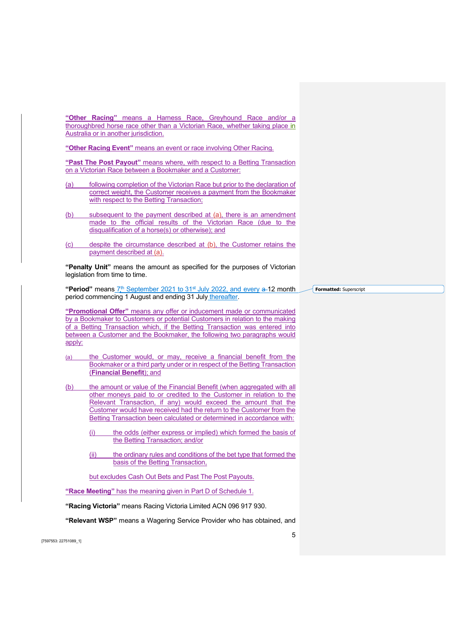"Other Racing" means a Harness Race, Greyhound Race and/or a thoroughbred horse race other than a Victorian Race, whether taking place in Australia or in another jurisdiction.

"Other Racing Event" means an event or race involving Other Racing.

"Past The Post Payout" means where, with respect to a Betting Transaction on a Victorian Race between a Bookmaker and a Customer:

- (a) following completion of the Victorian Race but prior to the declaration of correct weight, the Customer receives a payment from the Bookmaker with respect to the Betting Transaction;
- (b) subsequent to the payment described at (a), there is an amendment made to the official results of the Victorian Race (due to the disqualification of a horse(s) or otherwise); and
- (c) despite the circumstance described at (b), the Customer retains the payment described at (a).

"Penalty Unit" means the amount as specified for the purposes of Victorian legislation from time to time.

"Period" means  $7<sup>th</sup>$  September 2021 to 31<sup>st</sup> July 2022, and every  $a-12$  month period commencing 1 August and ending 31 July thereafter.

"Promotional Offer" means any offer or inducement made or communicated by a Bookmaker to Customers or potential Customers in relation to the making of a Betting Transaction which, if the Betting Transaction was entered into between a Customer and the Bookmaker, the following two paragraphs would apply:

- (a) the Customer would, or may, receive a financial benefit from the Bookmaker or a third party under or in respect of the Betting Transaction (Financial Benefit); and
- (b) the amount or value of the Financial Benefit (when aggregated with all other moneys paid to or credited to the Customer in relation to the Relevant Transaction, if any) would exceed the amount that the Customer would have received had the return to the Customer from the Betting Transaction been calculated or determined in accordance with:
	- (i) the odds (either express or implied) which formed the basis of the Betting Transaction; and/or
	- (ii) the ordinary rules and conditions of the bet type that formed the basis of the Betting Transaction,

but excludes Cash Out Bets and Past The Post Payouts.

"Race Meeting" has the meaning given in Part D of Schedule 1.

"Racing Victoria" means Racing Victoria Limited ACN 096 917 930.

"Relevant WSP" means a Wagering Service Provider who has obtained, and

[7597553: 22751089\_1]

Formatted: Superscript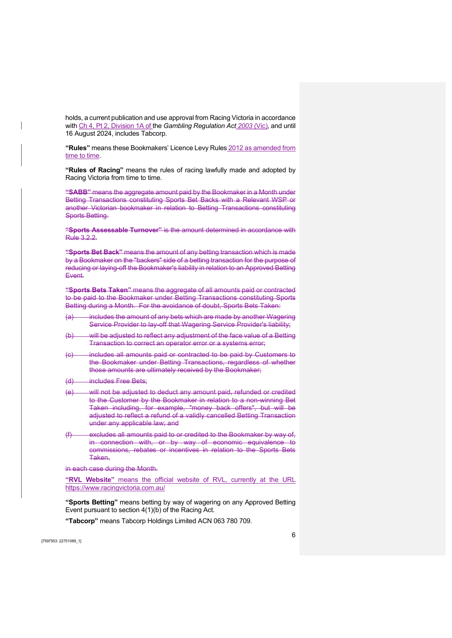holds, a current publication and use approval from Racing Victoria in accordance with Ch 4, Pt 2, Division 1A of the Gambling Regulation Act 2003 (Vic), and until 16 August 2024, includes Tabcorp.

"Rules" means these Bookmakers' Licence Levy Rules 2012 as amended from time to time.

"Rules of Racing" means the rules of racing lawfully made and adopted by Racing Victoria from time to time.

"SABB" means the aggregate amount paid by the Bookmaker in a Month under Betting Transactions constituting Sports Bet Backs with a Relevant WSP or another Victorian bookmaker in relation to Betting Transactions constituting Sports Betting.

"Sports Assessable Turnover" is the amount determined in accordance with Rule 3.2.2.

"Sports Bet Back" means the amount of any betting transaction which is made by a Bookmaker on the "backers" side of a betting transaction for the purpose of reducing or laying-off the Bookmaker's liability in relation to an Approved Betting Event.

"Sports Bets Taken" means the aggregate of all amounts paid or contracted to be paid to the Bookmaker under Betting Transactions constituting Sports Betting during a Month. For the avoidance of doubt, Sports Bets Taken:

- (a) includes the amount of any bets which are made by another Wagering Service Provider to lay-off that Wagering Service Provider's liability;
- (b) will be adjusted to reflect any adjustment of the face value of a Betting Transaction to correct an operator error or a systems error;
- (c) includes all amounts paid or contracted to be paid by Customers to the Bookmaker under Betting Transactions, regardless of whether those amounts are ultimately received by the Bookmaker;
- (d) includes Free Bets;
- (e) will not be adjusted to deduct any amount paid, refunded or credited to the Customer by the Bookmaker in relation to a non-winning Bet Taken including, for example, "money back offers", but will be adjusted to reflect a refund of a validly cancelled Betting Transaction under any applicable law; and
- (f) excludes all amounts paid to or credited to the Bookmaker by way of, in connection with, or by way of economic equivalence to commissions, rebates or incentives in relation to the Sports Bets Taken,

in each case during the Month.

"RVL Website" means the official website of RVL, currently at the URL https://www.racingvictoria.com.au/

"Sports Betting" means betting by way of wagering on any Approved Betting Event pursuant to section 4(1)(b) of the Racing Act.

"Tabcorp" means Tabcorp Holdings Limited ACN 063 780 709.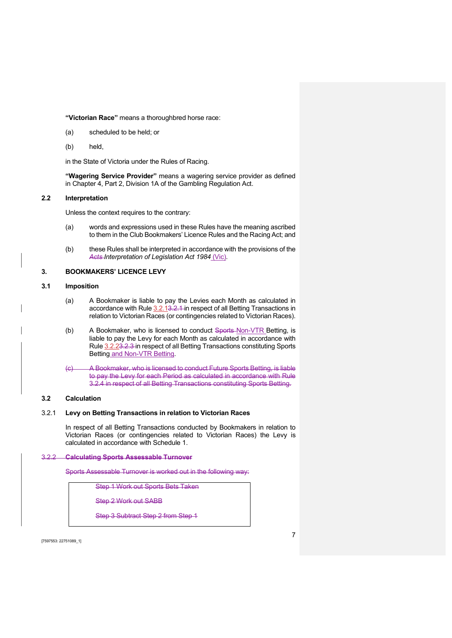### "Victorian Race" means a thoroughbred horse race:

- (a) scheduled to be held; or
- (b) held,

in the State of Victoria under the Rules of Racing.

"Wagering Service Provider" means a wagering service provider as defined in Chapter 4, Part 2, Division 1A of the Gambling Regulation Act.

### 2.2 Interpretation

Unless the context requires to the contrary:

- (a) words and expressions used in these Rules have the meaning ascribed to them in the Club Bookmakers' Licence Rules and the Racing Act; and
- (b) these Rules shall be interpreted in accordance with the provisions of the Acts Interpretation of Legislation Act 1984 (Vic).

# 3. BOOKMAKERS' LICENCE LEVY

# 3.1 Imposition

- (a) A Bookmaker is liable to pay the Levies each Month as calculated in accordance with Rule 3.2.13.2.1 in respect of all Betting Transactions in relation to Victorian Races (or contingencies related to Victorian Races).
- (b) A Bookmaker, who is licensed to conduct Sports-Non-VTR Betting, is liable to pay the Levy for each Month as calculated in accordance with Rule 3.2.23.2.3 in respect of all Betting Transactions constituting Sports Betting and Non-VTR Betting.
- (c) A Bookmaker, who is licensed to conduct Future Sports Betting, is liable to pay the Levy for each Period as calculated in accordance with Rule 3.2.4 in respect of all Betting Transactions constituting Sports Betting.

#### 3.2 Calculation

## 3.2.1 Levy on Betting Transactions in relation to Victorian Races

In respect of all Betting Transactions conducted by Bookmakers in relation to Victorian Races (or contingencies related to Victorian Races) the Levy is calculated in accordance with Schedule 1.

#### 3.2.2 Calculating Sports Assessable Turnover

Sports Assessable Turnover is worked out in the following way:

Step 1 Work out Sports Bets Taken

Step 2 Work out SABB

Step 3 Subtract Step 2 from Step 1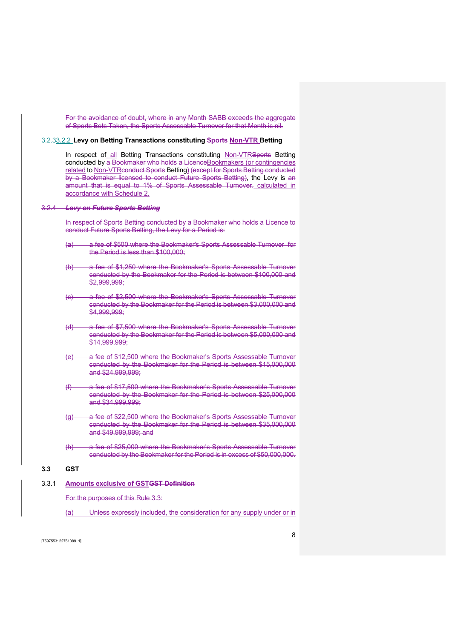For the avoidance of doubt, where in any Month SABB exceeds the aggregate of Sports Bets Taken, the Sports Assessable Turnover for that Month is nil.

### 3.2.33.2.2 Levy on Betting Transactions constituting Sports Non-VTR Betting

In respect of all Betting Transactions constituting Non-VTRSports Betting conducted by a Bookmaker who holds a LicenceBookmakers (or contingencies related to Non-VTRconduct Sports Betting) (except for Sports Betting conducted by a Bookmaker licensed to conduct Future Sports Betting), the Levy is an amount that is equal to 1% of Sports Assessable Turnover. calculated in accordance with Schedule 2.

#### 3.2.4 Levy on Future Sports Betting

In respect of Sports Betting conducted by a Bookmaker who holds a Licence to conduct Future Sports Betting, the Levy for a Period is:

- (a) a fee of \$500 where the Bookmaker's Sports Assessable Turnover for the Period is less than \$100,000;
- (b) a fee of \$1,250 where the Bookmaker's Sports Assessable Turnover conducted by the Bookmaker for the Period is between \$100,000 and \$2,999,999;
- (c) a fee of \$2,500 where the Bookmaker's Sports Assessable Turnover conducted by the Bookmaker for the Period is between \$3,000,000 and \$4,999,999;
- (d) a fee of \$7,500 where the Bookmaker's Sports Assessable Turnover conducted by the Bookmaker for the Period is between \$5,000,000 and \$14,999,999;
- (e) a fee of \$12,500 where the Bookmaker's Sports Assessable Turnover conducted by the Bookmaker for the Period is between \$15,000,000 and \$24,999,999;
- (f) a fee of \$17,500 where the Bookmaker's Sports Assessable Turnover conducted by the Bookmaker for the Period is between \$25,000,000 and \$34,999,999;
- (g) a fee of \$22,500 where the Bookmaker's Sports Assessable Turnover conducted by the Bookmaker for the Period is between \$35,000,000 and \$49,999,999; and
- (h) a fee of \$25,000 where the Bookmaker's Sports Assessable Turnover conducted by the Bookmaker for the Period is in excess of \$50,000,000.

# 3.3 GST

# 3.3.1 Amounts exclusive of GSTGST Definition

For the purposes of this Rule 3.3:

(a) Unless expressly included, the consideration for any supply under or in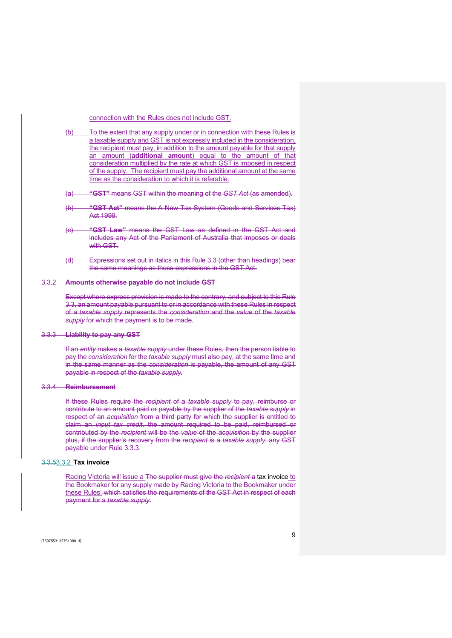connection with the Rules does not include GST.

(b) To the extent that any supply under or in connection with these Rules is a taxable supply and GST is not expressly included in the consideration, the recipient must pay, in addition to the amount payable for that supply an amount (additional amount) equal to the amount of that consideration multiplied by the rate at which GST is imposed in respect of the supply. The recipient must pay the additional amount at the same time as the consideration to which it is referable.

(a) "GST" means GST within the meaning of the GST Act (as amended).

- (b) "GST Act" means the A New Tax System (Goods and Services Tax) Act 1999.
- (c) "GST Law" means the GST Law as defined in the GST Act and includes any Act of the Parliament of Australia that imposes or deals with GST.
- (d) Expressions set out in italics in this Rule 3.3 (other than headings) bear the same meanings as those expressions in the GST Act.

#### 3.3.2 Amounts otherwise payable do not include GST

Except where express provision is made to the contrary, and subject to this Rule 3.3, an amount payable pursuant to or in accordance with these Rules in respect of a taxable supply represents the consideration and the value of the taxable supply for which the payment is to be made.

# 3.3.3 Liability to pay any GST

If an entity makes a taxable supply under these Rules, then the person liable to pay the consideration for the taxable supply must also pay, at the same time and in the same manner as the consideration is payable, the amount of any GST payable in respect of the taxable supply.

#### 3.3.4 Reimbursement

If these Rules require the recipient of a taxable supply to pay, reimburse or contribute to an amount paid or payable by the supplier of the taxable supply in respect of an acquisition from a third party for which the supplier is entitled to claim an *input tax credit*, the amount required to be paid, reimbursed or contributed by the recipient will be the value of the acquisition by the supplier plus, if the supplier's recovery from the recipient is a taxable supply, any GST payable under Rule 3.3.3.

# 3.3.53.3.2 Tax invoice

Racing Victoria will issue a The supplier must give the recipient a tax invoice to the Bookmaker for any supply made by Racing Victoria to the Bookmaker under these Rules. which satisfies the requirements of the GST Act in respect of each payment for a taxable supply.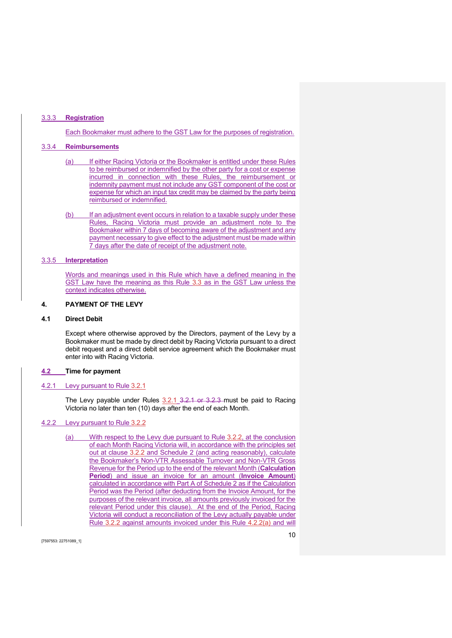### 3.3.3 Registration

Each Bookmaker must adhere to the GST Law for the purposes of registration.

# 3.3.4 Reimbursements

- (a) If either Racing Victoria or the Bookmaker is entitled under these Rules to be reimbursed or indemnified by the other party for a cost or expense incurred in connection with these Rules, the reimbursement or indemnity payment must not include any GST component of the cost or expense for which an input tax credit may be claimed by the party being reimbursed or indemnified.
- (b) If an adjustment event occurs in relation to a taxable supply under these Rules, Racing Victoria must provide an adjustment note to the Bookmaker within 7 days of becoming aware of the adjustment and any payment necessary to give effect to the adjustment must be made within 7 days after the date of receipt of the adjustment note.

### 3.3.5 Interpretation

Words and meanings used in this Rule which have a defined meaning in the GST Law have the meaning as this Rule 3.3 as in the GST Law unless the context indicates otherwise.

### 4. PAYMENT OF THE LEVY

# 4.1 Direct Debit

Except where otherwise approved by the Directors, payment of the Levy by a Bookmaker must be made by direct debit by Racing Victoria pursuant to a direct debit request and a direct debit service agreement which the Bookmaker must enter into with Racing Victoria.

### 4.2 Time for payment

### 4.2.1 Levy pursuant to Rule 3.2.1

The Levy payable under Rules 3.2.1 3.2.1 or 3.2.3 must be paid to Racing Victoria no later than ten (10) days after the end of each Month.

# 4.2.2 Levy pursuant to Rule 3.2.2

(a) With respect to the Levy due pursuant to Rule 3.2.2, at the conclusion of each Month Racing Victoria will, in accordance with the principles set out at clause 3.2.2 and Schedule 2 (and acting reasonably), calculate the Bookmaker's Non-VTR Assessable Turnover and Non-VTR Gross Revenue for the Period up to the end of the relevant Month (Calculation Period) and issue an invoice for an amount (Invoice Amount) calculated in accordance with Part A of Schedule 2 as if the Calculation Period was the Period (after deducting from the Invoice Amount, for the purposes of the relevant invoice, all amounts previously invoiced for the relevant Period under this clause). At the end of the Period, Racing Victoria will conduct a reconciliation of the Levy actually payable under Rule 3.2.2 against amounts invoiced under this Rule 4.2.2(a) and will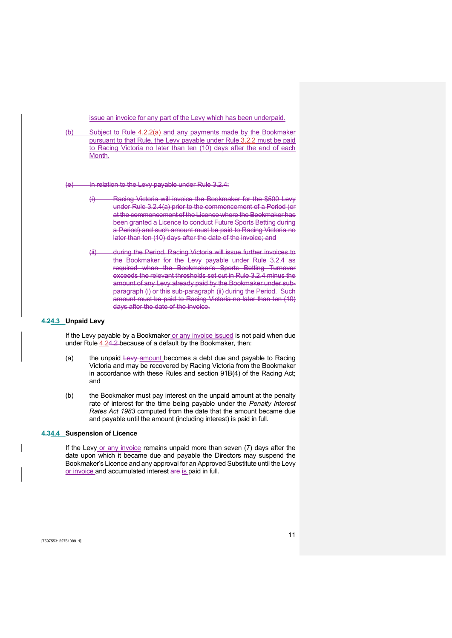issue an invoice for any part of the Levy which has been underpaid.

(b) Subject to Rule 4.2.2(a) and any payments made by the Bookmaker pursuant to that Rule, the Levy payable under Rule 3.2.2 must be paid to Racing Victoria no later than ten (10) days after the end of each Month.

(e) In relation to the Levy payable under Rule 3.2.4:

- (i) Racing Victoria will invoice the Bookmaker for the \$500 Levy under Rule 3.2.4(a) prior to the commencement of a Period (or at the commencement of the Licence where the Bookmaker has been granted a Licence to conduct Future Sports Betting during a Period) and such amount must be paid to Racing Victoria no later than ten (10) days after the date of the invoice; and
- (ii) during the Period, Racing Victoria will issue further invoices to the Bookmaker for the Levy payable under Rule 3.2.4 as required when the Bookmaker's Sports Betting Turnover exceeds the relevant thresholds set out in Rule 3.2.4 minus the amount of any Levy already paid by the Bookmaker under subparagraph (i) or this sub-paragraph (ii) during the Period. Such amount must be paid to Racing Victoria no later than ten (10) days after the date of the invoice.

### 4.24.3 Unpaid Levy

If the Levy payable by a Bookmaker or any invoice issued is not paid when due under Rule 4.24.2 because of a default by the Bookmaker, then:

- (a) the unpaid Levy amount becomes a debt due and payable to Racing Victoria and may be recovered by Racing Victoria from the Bookmaker in accordance with these Rules and section 91B(4) of the Racing Act; and
- (b) the Bookmaker must pay interest on the unpaid amount at the penalty rate of interest for the time being payable under the Penalty Interest Rates Act 1983 computed from the date that the amount became due and payable until the amount (including interest) is paid in full.

#### 4.34.4 Suspension of Licence

If the Levy or any invoice remains unpaid more than seven (7) days after the date upon which it became due and payable the Directors may suspend the Bookmaker's Licence and any approval for an Approved Substitute until the Levy or invoice and accumulated interest are is paid in full.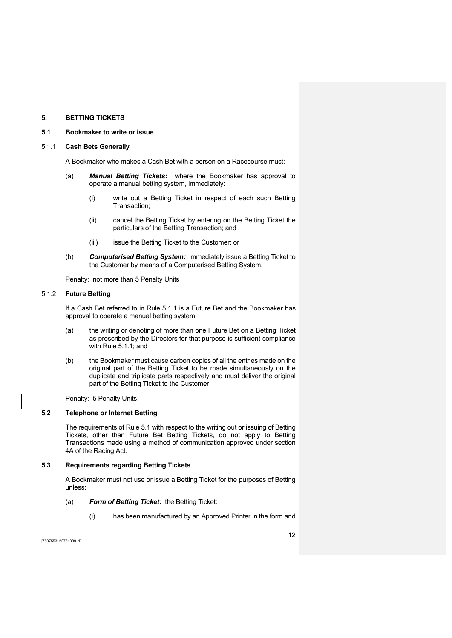# 5. BETTING TICKETS

#### 5.1 Bookmaker to write or issue

#### 5.1.1 Cash Bets Generally

A Bookmaker who makes a Cash Bet with a person on a Racecourse must:

- (a) **Manual Betting Tickets:** where the Bookmaker has approval to operate a manual betting system, immediately:
	- (i) write out a Betting Ticket in respect of each such Betting Transaction;
	- (ii) cancel the Betting Ticket by entering on the Betting Ticket the particulars of the Betting Transaction; and
	- (iii) issue the Betting Ticket to the Customer; or
- (b) Computerised Betting System: immediately issue a Betting Ticket to the Customer by means of a Computerised Betting System.

Penalty: not more than 5 Penalty Units

# 5.1.2 Future Betting

If a Cash Bet referred to in Rule 5.1.1 is a Future Bet and the Bookmaker has approval to operate a manual betting system:

- (a) the writing or denoting of more than one Future Bet on a Betting Ticket as prescribed by the Directors for that purpose is sufficient compliance with Rule 5.1.1; and
- (b) the Bookmaker must cause carbon copies of all the entries made on the original part of the Betting Ticket to be made simultaneously on the duplicate and triplicate parts respectively and must deliver the original part of the Betting Ticket to the Customer.

Penalty: 5 Penalty Units.

# 5.2 Telephone or Internet Betting

The requirements of Rule 5.1 with respect to the writing out or issuing of Betting Tickets, other than Future Bet Betting Tickets, do not apply to Betting Transactions made using a method of communication approved under section 4A of the Racing Act.

# 5.3 Requirements regarding Betting Tickets

A Bookmaker must not use or issue a Betting Ticket for the purposes of Betting unless:

- (a) Form of Betting Ticket: the Betting Ticket:
	- (i) has been manufactured by an Approved Printer in the form and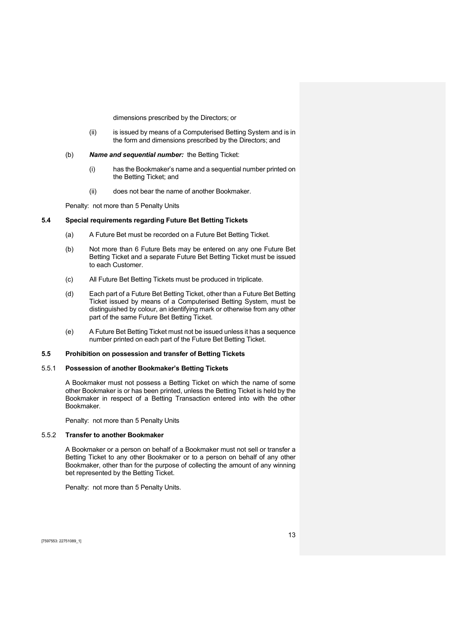dimensions prescribed by the Directors; or

- (ii) is issued by means of a Computerised Betting System and is in the form and dimensions prescribed by the Directors; and
- (b) Name and sequential number: the Betting Ticket:
	- (i) has the Bookmaker's name and a sequential number printed on the Betting Ticket; and
	- (ii) does not bear the name of another Bookmaker.

Penalty: not more than 5 Penalty Units

# 5.4 Special requirements regarding Future Bet Betting Tickets

- (a) A Future Bet must be recorded on a Future Bet Betting Ticket.
- (b) Not more than 6 Future Bets may be entered on any one Future Bet Betting Ticket and a separate Future Bet Betting Ticket must be issued to each Customer.
- (c) All Future Bet Betting Tickets must be produced in triplicate.
- (d) Each part of a Future Bet Betting Ticket, other than a Future Bet Betting Ticket issued by means of a Computerised Betting System, must be distinguished by colour, an identifying mark or otherwise from any other part of the same Future Bet Betting Ticket.
- (e) A Future Bet Betting Ticket must not be issued unless it has a sequence number printed on each part of the Future Bet Betting Ticket.

# 5.5 Prohibition on possession and transfer of Betting Tickets

# 5.5.1 Possession of another Bookmaker's Betting Tickets

A Bookmaker must not possess a Betting Ticket on which the name of some other Bookmaker is or has been printed, unless the Betting Ticket is held by the Bookmaker in respect of a Betting Transaction entered into with the other Bookmaker.

Penalty: not more than 5 Penalty Units

### 5.5.2 Transfer to another Bookmaker

A Bookmaker or a person on behalf of a Bookmaker must not sell or transfer a Betting Ticket to any other Bookmaker or to a person on behalf of any other Bookmaker, other than for the purpose of collecting the amount of any winning bet represented by the Betting Ticket.

Penalty: not more than 5 Penalty Units.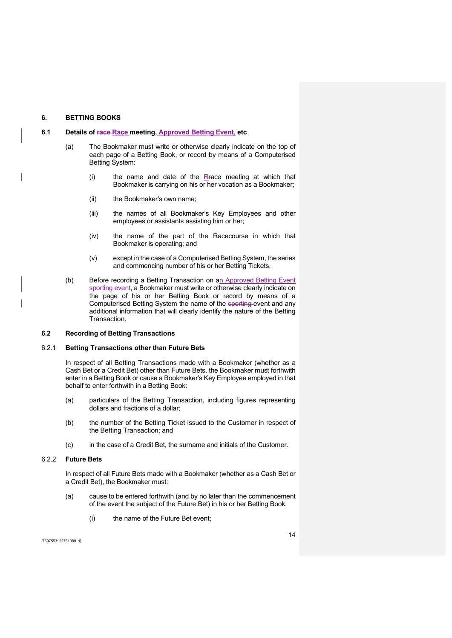# 6. BETTING BOOKS

#### 6.1 Details of race-Race meeting, Approved Betting Event, etc

- (a) The Bookmaker must write or otherwise clearly indicate on the top of each page of a Betting Book, or record by means of a Computerised Betting System:
	- (i) the name and date of the Rrace meeting at which that Bookmaker is carrying on his or her vocation as a Bookmaker;
	- (ii) the Bookmaker's own name;
	- (iii) the names of all Bookmaker's Key Employees and other employees or assistants assisting him or her;
	- (iv) the name of the part of the Racecourse in which that Bookmaker is operating; and
	- (v) except in the case of a Computerised Betting System, the series and commencing number of his or her Betting Tickets.
- (b) Before recording a Betting Transaction on an Approved Betting Event sporting event, a Bookmaker must write or otherwise clearly indicate on the page of his or her Betting Book or record by means of a Computerised Betting System the name of the sporting event and any additional information that will clearly identify the nature of the Betting Transaction.

### 6.2 Recording of Betting Transactions

#### 6.2.1 Betting Transactions other than Future Bets

In respect of all Betting Transactions made with a Bookmaker (whether as a Cash Bet or a Credit Bet) other than Future Bets, the Bookmaker must forthwith enter in a Betting Book or cause a Bookmaker's Key Employee employed in that behalf to enter forthwith in a Betting Book:

- (a) particulars of the Betting Transaction, including figures representing dollars and fractions of a dollar;
- (b) the number of the Betting Ticket issued to the Customer in respect of the Betting Transaction; and
- (c) in the case of a Credit Bet, the surname and initials of the Customer.

# 6.2.2 Future Bets

In respect of all Future Bets made with a Bookmaker (whether as a Cash Bet or a Credit Bet), the Bookmaker must:

- (a) cause to be entered forthwith (and by no later than the commencement of the event the subject of the Future Bet) in his or her Betting Book:
	- (i) the name of the Future Bet event;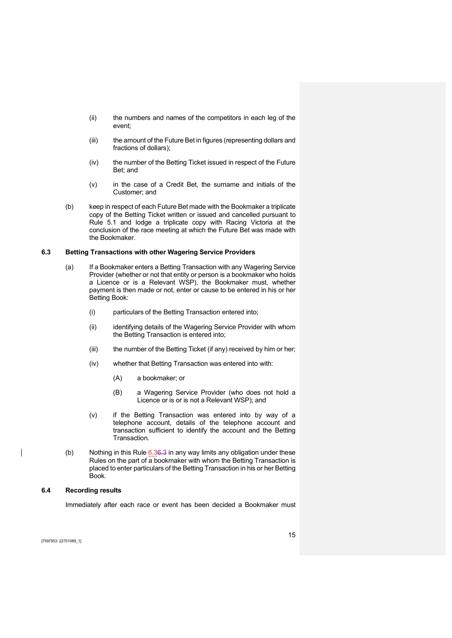- (ii) the numbers and names of the competitors in each leg of the event;
- (iii) the amount of the Future Bet in figures (representing dollars and fractions of dollars);
- (iv) the number of the Betting Ticket issued in respect of the Future Bet; and
- (v) in the case of a Credit Bet, the surname and initials of the Customer; and
- (b) keep in respect of each Future Bet made with the Bookmaker a triplicate copy of the Betting Ticket written or issued and cancelled pursuant to Rule 5.1 and lodge a triplicate copy with Racing Victoria at the conclusion of the race meeting at which the Future Bet was made with the Bookmaker.

# 6.3 Betting Transactions with other Wagering Service Providers

- (a) If a Bookmaker enters a Betting Transaction with any Wagering Service Provider (whether or not that entity or person is a bookmaker who holds a Licence or is a Relevant WSP), the Bookmaker must, whether payment is then made or not, enter or cause to be entered in his or her Betting Book:
	- (i) particulars of the Betting Transaction entered into;
	- (ii) identifying details of the Wagering Service Provider with whom the Betting Transaction is entered into;
	- (iii) the number of the Betting Ticket (if any) received by him or her;
	- (iv) whether that Betting Transaction was entered into with:
		- (A) a bookmaker; or
		- (B) a Wagering Service Provider (who does not hold a Licence or is or is not a Relevant WSP); and
	- (v) if the Betting Transaction was entered into by way of a telephone account, details of the telephone account and transaction sufficient to identify the account and the Betting Transaction.
- (b) Nothing in this Rule  $6.36.3$  in any way limits any obligation under these Rules on the part of a bookmaker with whom the Betting Transaction is placed to enter particulars of the Betting Transaction in his or her Betting Book.

# 6.4 Recording results

Immediately after each race or event has been decided a Bookmaker must

[7597553: 22751089\_1]

 $\overline{\phantom{a}}$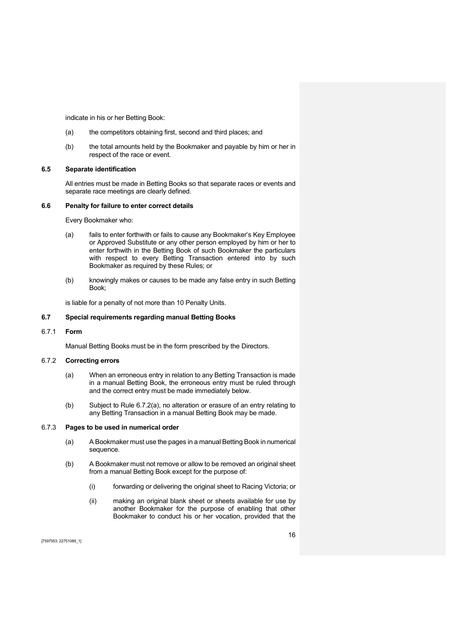indicate in his or her Betting Book:

- (a) the competitors obtaining first, second and third places; and
- (b) the total amounts held by the Bookmaker and payable by him or her in respect of the race or event.

### 6.5 Separate identification

All entries must be made in Betting Books so that separate races or events and separate race meetings are clearly defined.

#### 6.6 Penalty for failure to enter correct details

Every Bookmaker who:

- (a) fails to enter forthwith or fails to cause any Bookmaker's Key Employee or Approved Substitute or any other person employed by him or her to enter forthwith in the Betting Book of such Bookmaker the particulars with respect to every Betting Transaction entered into by such Bookmaker as required by these Rules; or
- (b) knowingly makes or causes to be made any false entry in such Betting Book;

is liable for a penalty of not more than 10 Penalty Units.

### 6.7 Special requirements regarding manual Betting Books

### 6.7.1 Form

Manual Betting Books must be in the form prescribed by the Directors.

# 6.7.2 Correcting errors

- (a) When an erroneous entry in relation to any Betting Transaction is made in a manual Betting Book, the erroneous entry must be ruled through and the correct entry must be made immediately below.
- (b) Subject to Rule 6.7.2(a), no alteration or erasure of an entry relating to any Betting Transaction in a manual Betting Book may be made.

### 6.7.3 Pages to be used in numerical order

- (a) A Bookmaker must use the pages in a manual Betting Book in numerical sequence.
- (b) A Bookmaker must not remove or allow to be removed an original sheet from a manual Betting Book except for the purpose of:
	- (i) forwarding or delivering the original sheet to Racing Victoria; or
	- (ii) making an original blank sheet or sheets available for use by another Bookmaker for the purpose of enabling that other Bookmaker to conduct his or her vocation, provided that the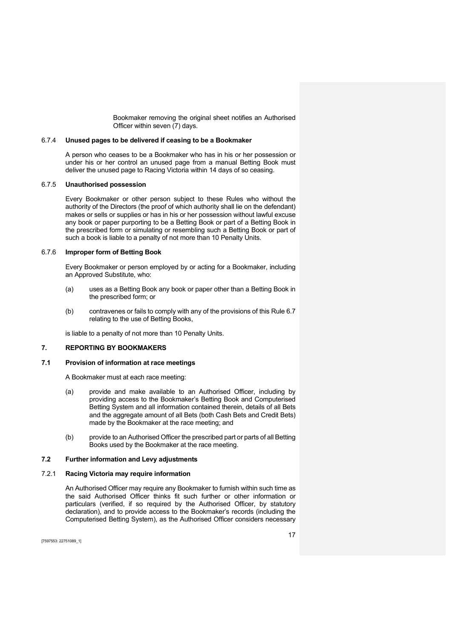Bookmaker removing the original sheet notifies an Authorised Officer within seven (7) days.

#### 6.7.4 Unused pages to be delivered if ceasing to be a Bookmaker

A person who ceases to be a Bookmaker who has in his or her possession or under his or her control an unused page from a manual Betting Book must deliver the unused page to Racing Victoria within 14 days of so ceasing.

# 6.7.5 Unauthorised possession

Every Bookmaker or other person subject to these Rules who without the authority of the Directors (the proof of which authority shall lie on the defendant) makes or sells or supplies or has in his or her possession without lawful excuse any book or paper purporting to be a Betting Book or part of a Betting Book in the prescribed form or simulating or resembling such a Betting Book or part of such a book is liable to a penalty of not more than 10 Penalty Units.

# 6.7.6 Improper form of Betting Book

Every Bookmaker or person employed by or acting for a Bookmaker, including an Approved Substitute, who:

- (a) uses as a Betting Book any book or paper other than a Betting Book in the prescribed form; or
- (b) contravenes or fails to comply with any of the provisions of this Rule 6.7 relating to the use of Betting Books,

is liable to a penalty of not more than 10 Penalty Units.

# 7. REPORTING BY BOOKMAKERS

# 7.1 Provision of information at race meetings

A Bookmaker must at each race meeting:

- (a) provide and make available to an Authorised Officer, including by providing access to the Bookmaker's Betting Book and Computerised Betting System and all information contained therein, details of all Bets and the aggregate amount of all Bets (both Cash Bets and Credit Bets) made by the Bookmaker at the race meeting; and
- (b) provide to an Authorised Officer the prescribed part or parts of all Betting Books used by the Bookmaker at the race meeting.

# 7.2 Further information and Levy adjustments

# 7.2.1 Racing Victoria may require information

An Authorised Officer may require any Bookmaker to furnish within such time as the said Authorised Officer thinks fit such further or other information or particulars (verified, if so required by the Authorised Officer, by statutory declaration), and to provide access to the Bookmaker's records (including the Computerised Betting System), as the Authorised Officer considers necessary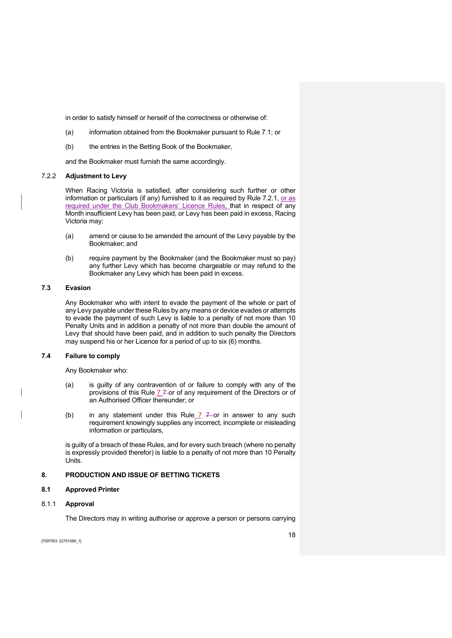in order to satisfy himself or herself of the correctness or otherwise of:

- (a) information obtained from the Bookmaker pursuant to Rule 7.1; or
- (b) the entries in the Betting Book of the Bookmaker,

and the Bookmaker must furnish the same accordingly.

#### 7.2.2 Adjustment to Levy

When Racing Victoria is satisfied, after considering such further or other information or particulars (if any) furnished to it as required by Rule 7.2.1, or as required under the Club Bookmakers' Licence Rules, that in respect of any Month insufficient Levy has been paid, or Levy has been paid in excess, Racing Victoria may:

- (a) amend or cause to be amended the amount of the Levy payable by the Bookmaker; and
- (b) require payment by the Bookmaker (and the Bookmaker must so pay) any further Levy which has become chargeable or may refund to the Bookmaker any Levy which has been paid in excess.

# 7.3 Evasion

Any Bookmaker who with intent to evade the payment of the whole or part of any Levy payable under these Rules by any means or device evades or attempts to evade the payment of such Levy is liable to a penalty of not more than 10 Penalty Units and in addition a penalty of not more than double the amount of Levy that should have been paid, and in addition to such penalty the Directors may suspend his or her Licence for a period of up to six (6) months.

### 7.4 Failure to comply

Any Bookmaker who:

- (a) is guilty of any contravention of or failure to comply with any of the provisions of this Rule  $77$  or of any requirement of the Directors or of an Authorised Officer thereunder; or
- (b) in any statement under this Rule  $\overline{7}$   $\overline{7}$  or in answer to any such requirement knowingly supplies any incorrect, incomplete or misleading information or particulars,

is guilty of a breach of these Rules, and for every such breach (where no penalty is expressly provided therefor) is liable to a penalty of not more than 10 Penalty Units.

# 8. PRODUCTION AND ISSUE OF BETTING TICKETS

#### 8.1 Approved Printer

### 8.1.1 Approval

The Directors may in writing authorise or approve a person or persons carrying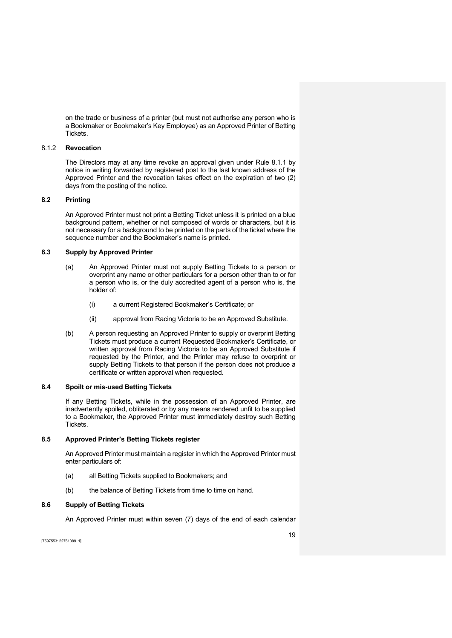on the trade or business of a printer (but must not authorise any person who is a Bookmaker or Bookmaker's Key Employee) as an Approved Printer of Betting Tickets.

# 8.1.2 Revocation

The Directors may at any time revoke an approval given under Rule 8.1.1 by notice in writing forwarded by registered post to the last known address of the Approved Printer and the revocation takes effect on the expiration of two (2) days from the posting of the notice.

### 8.2 Printing

An Approved Printer must not print a Betting Ticket unless it is printed on a blue background pattern, whether or not composed of words or characters, but it is not necessary for a background to be printed on the parts of the ticket where the sequence number and the Bookmaker's name is printed.

# 8.3 Supply by Approved Printer

- (a) An Approved Printer must not supply Betting Tickets to a person or overprint any name or other particulars for a person other than to or for a person who is, or the duly accredited agent of a person who is, the holder of:
	- (i) a current Registered Bookmaker's Certificate; or
	- (ii) approval from Racing Victoria to be an Approved Substitute.
- (b) A person requesting an Approved Printer to supply or overprint Betting Tickets must produce a current Requested Bookmaker's Certificate, or written approval from Racing Victoria to be an Approved Substitute if requested by the Printer, and the Printer may refuse to overprint or supply Betting Tickets to that person if the person does not produce a certificate or written approval when requested.

### 8.4 Spoilt or mis-used Betting Tickets

If any Betting Tickets, while in the possession of an Approved Printer, are inadvertently spoiled, obliterated or by any means rendered unfit to be supplied to a Bookmaker, the Approved Printer must immediately destroy such Betting Tickets.

# 8.5 Approved Printer's Betting Tickets register

An Approved Printer must maintain a register in which the Approved Printer must enter particulars of:

- (a) all Betting Tickets supplied to Bookmakers; and
- (b) the balance of Betting Tickets from time to time on hand.

# 8.6 Supply of Betting Tickets

An Approved Printer must within seven (7) days of the end of each calendar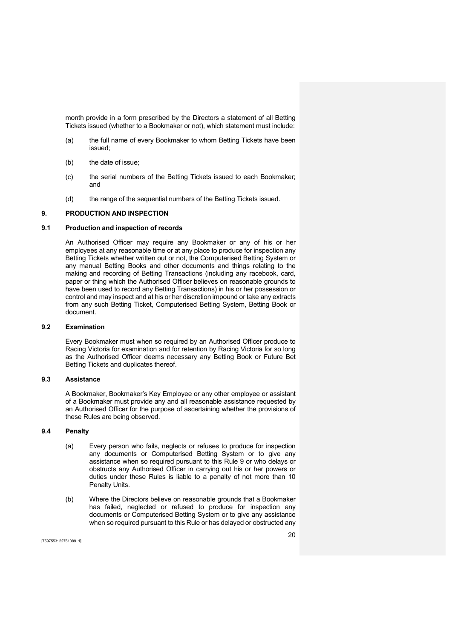month provide in a form prescribed by the Directors a statement of all Betting Tickets issued (whether to a Bookmaker or not), which statement must include:

- (a) the full name of every Bookmaker to whom Betting Tickets have been issued;
- (b) the date of issue;
- (c) the serial numbers of the Betting Tickets issued to each Bookmaker; and
- (d) the range of the sequential numbers of the Betting Tickets issued.

# 9. PRODUCTION AND INSPECTION

# 9.1 Production and inspection of records

An Authorised Officer may require any Bookmaker or any of his or her employees at any reasonable time or at any place to produce for inspection any Betting Tickets whether written out or not, the Computerised Betting System or any manual Betting Books and other documents and things relating to the making and recording of Betting Transactions (including any racebook, card, paper or thing which the Authorised Officer believes on reasonable grounds to have been used to record any Betting Transactions) in his or her possession or control and may inspect and at his or her discretion impound or take any extracts from any such Betting Ticket, Computerised Betting System, Betting Book or document.

### 9.2 Examination

Every Bookmaker must when so required by an Authorised Officer produce to Racing Victoria for examination and for retention by Racing Victoria for so long as the Authorised Officer deems necessary any Betting Book or Future Bet Betting Tickets and duplicates thereof.

# 9.3 Assistance

A Bookmaker, Bookmaker's Key Employee or any other employee or assistant of a Bookmaker must provide any and all reasonable assistance requested by an Authorised Officer for the purpose of ascertaining whether the provisions of these Rules are being observed.

### 9.4 Penalty

- (a) Every person who fails, neglects or refuses to produce for inspection any documents or Computerised Betting System or to give any assistance when so required pursuant to this Rule 9 or who delays or obstructs any Authorised Officer in carrying out his or her powers or duties under these Rules is liable to a penalty of not more than 10 Penalty Units.
- (b) Where the Directors believe on reasonable grounds that a Bookmaker has failed, neglected or refused to produce for inspection any documents or Computerised Betting System or to give any assistance when so required pursuant to this Rule or has delayed or obstructed any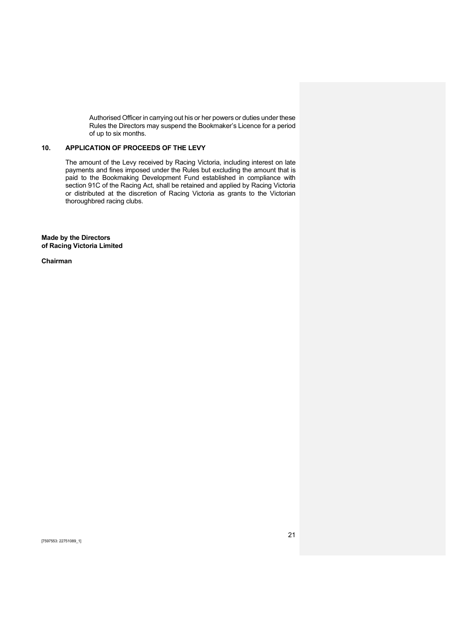Authorised Officer in carrying out his or her powers or duties under these Rules the Directors may suspend the Bookmaker's Licence for a period of up to six months.

# 10. APPLICATION OF PROCEEDS OF THE LEVY

The amount of the Levy received by Racing Victoria, including interest on late payments and fines imposed under the Rules but excluding the amount that is paid to the Bookmaking Development Fund established in compliance with section 91C of the Racing Act, shall be retained and applied by Racing Victoria or distributed at the discretion of Racing Victoria as grants to the Victorian thoroughbred racing clubs.

Made by the Directors of Racing Victoria Limited

Chairman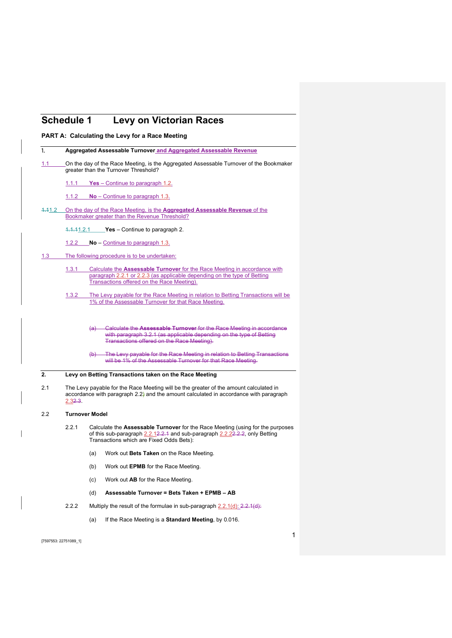# Schedule 1 Levy on Victorian Races

PART A: Calculating the Levy for a Race Meeting

|                  |         | Aggregated Assessable Turnover and Aggregated Assessable Revenue                                                                                                                                                                                                                                                                                          |
|------------------|---------|-----------------------------------------------------------------------------------------------------------------------------------------------------------------------------------------------------------------------------------------------------------------------------------------------------------------------------------------------------------|
| 1.1 <sub>1</sub> |         | On the day of the Race Meeting, is the Aggregated Assessable Turnover of the Bookmaker<br>greater than the Turnover Threshold?                                                                                                                                                                                                                            |
|                  |         | 1.1.1 <b>Yes</b> – Continue to paragraph 1.2.                                                                                                                                                                                                                                                                                                             |
|                  | 1.1.2   | $No$ – Continue to paragraph 1.3.                                                                                                                                                                                                                                                                                                                         |
| <u>4.41.2</u>    |         | On the day of the Race Meeting, is the <b>Aggregated Assessable Revenue</b> of the<br>Bookmaker greater than the Revenue Threshold?                                                                                                                                                                                                                       |
|                  |         | $4.4.41.2.1$ Yes - Continue to paragraph 2.                                                                                                                                                                                                                                                                                                               |
|                  |         | 1.2.2 <b>No</b> – Continue to paragraph 1.3.                                                                                                                                                                                                                                                                                                              |
| 1.3 <sub>1</sub> |         | The following procedure is to be undertaken:                                                                                                                                                                                                                                                                                                              |
|                  | 1.3.1   | Calculate the <b>Assessable Turnover</b> for the Race Meeting in accordance with<br>paragraph 2.2.1 or 2.2.3 (as applicable depending on the type of Betting<br>Transactions offered on the Race Meeting).                                                                                                                                                |
|                  | 1.3.2   | The Levy payable for the Race Meeting in relation to Betting Transactions will be<br>1% of the Assessable Turnover for that Race Meeting.                                                                                                                                                                                                                 |
|                  |         | (a) Calculate the Assessable Turnover for the Race Meeting in accordance<br>with paragraph 3.2.1 (as applicable depending on the type of Betting<br><b>Transactions offered on the Race Meeting).</b><br>The Levy payable for the Race Meeting in relation to Betting Transactions<br>(b)<br>will be 1% of the Assessable Turnover for that Race Meeting. |
|                  |         |                                                                                                                                                                                                                                                                                                                                                           |
| 2.               |         | Levy on Betting Transactions taken on the Race Meeting                                                                                                                                                                                                                                                                                                    |
| 2.1              | 2.32.3. | The Levy payable for the Race Meeting will be the greater of the amount calculated in<br>accordance with paragraph $2.2$ ) and the amount calculated in accordance with paragraph                                                                                                                                                                         |
| 2.2              |         | <b>Turnover Model</b>                                                                                                                                                                                                                                                                                                                                     |
|                  | 2.2.1   | of this sub-paragraph $2.2.12.2.4$ and sub-paragraph $2.2.22.2.2$ , only Betting<br>Transactions which are Fixed Odds Bets):                                                                                                                                                                                                                              |
|                  |         | (a)<br>Work out <b>Bets Taken</b> on the Race Meeting.                                                                                                                                                                                                                                                                                                    |
|                  |         | (b)<br>Work out <b>EPMB</b> for the Race Meeting.                                                                                                                                                                                                                                                                                                         |
|                  |         | (c)<br>Work out AB for the Race Meeting.                                                                                                                                                                                                                                                                                                                  |
|                  |         | Calculate the Assessable Turnover for the Race Meeting (using for the purposes<br>Assessable Turnover = Bets Taken + EPMB - AB<br>(d)                                                                                                                                                                                                                     |
|                  | 2.2.2   | Multiply the result of the formulae in sub-paragraph $2.2.1(d)$ : $2.2.1(d)$ :                                                                                                                                                                                                                                                                            |

[7597553: 22751089\_1]

 $\overline{\phantom{a}}$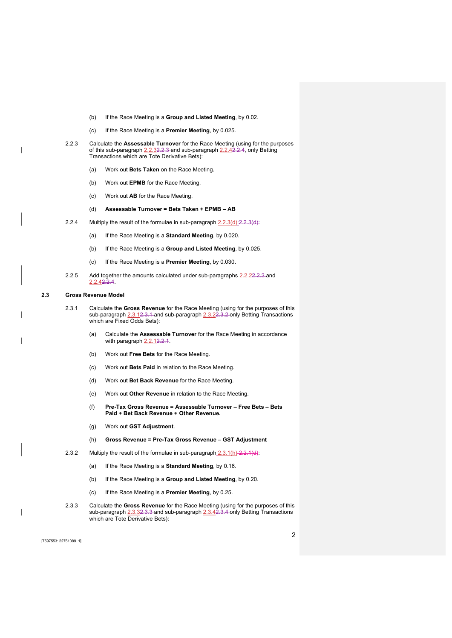- (b) If the Race Meeting is a Group and Listed Meeting, by 0.02.
- (c) If the Race Meeting is a **Premier Meeting**, by 0.025.
- 2.2.3 Calculate the Assessable Turnover for the Race Meeting (using for the purposes of this sub-paragraph 2.2.32.2.3 and sub-paragraph 2.2.42.2.4, only Betting Transactions which are Tote Derivative Bets):
	- (a) Work out Bets Taken on the Race Meeting.
	- (b) Work out EPMB for the Race Meeting.
	- (c) Work out AB for the Race Meeting.
	- (d) Assessable Turnover = Bets Taken + EPMB AB
- 2.2.4 Multiply the result of the formulae in sub-paragraph  $2.2.3(d)$ :  $2.2.3(d)$ :
	- (a) If the Race Meeting is a Standard Meeting, by 0.020.
	- (b) If the Race Meeting is a Group and Listed Meeting, by 0.025.
	- (c) If the Race Meeting is a Premier Meeting, by 0.030.
- 2.2.5 Add together the amounts calculated under sub-paragraphs 2.2.22.2.2 and 2.2.42.2.4.

#### 2.3 Gross Revenue Model

- 2.3.1 Calculate the Gross Revenue for the Race Meeting (using for the purposes of this sub-paragraph 2.3.12.3.1 and sub-paragraph 2.3.22.3.2 only Betting Transactions which are Fixed Odds Bets):
	- (a) Calculate the Assessable Turnover for the Race Meeting in accordance with paragraph 2.2.12.2.1.
	- (b) Work out Free Bets for the Race Meeting.
	- (c) Work out Bets Paid in relation to the Race Meeting.
	- (d) Work out Bet Back Revenue for the Race Meeting.
	- (e) Work out Other Revenue in relation to the Race Meeting.
	- (f) Pre-Tax Gross Revenue = Assessable Turnover Free Bets Bets Paid + Bet Back Revenue + Other Revenue.
	- (g) Work out GST Adjustment.
	- (h) Gross Revenue = Pre-Tax Gross Revenue GST Adjustment
- 2.3.2 Multiply the result of the formulae in sub-paragraph 2.3.1(h) 2.2.1(d):
	- (a) If the Race Meeting is a Standard Meeting, by 0.16.
	- (b) If the Race Meeting is a Group and Listed Meeting, by 0.20.
	- (c) If the Race Meeting is a Premier Meeting, by 0.25.
- 2.3.3 Calculate the Gross Revenue for the Race Meeting (using for the purposes of this sub-paragraph 2.3.32.3.3 and sub-paragraph 2.3.42.3.4 only Betting Transactions which are Tote Derivative Bets):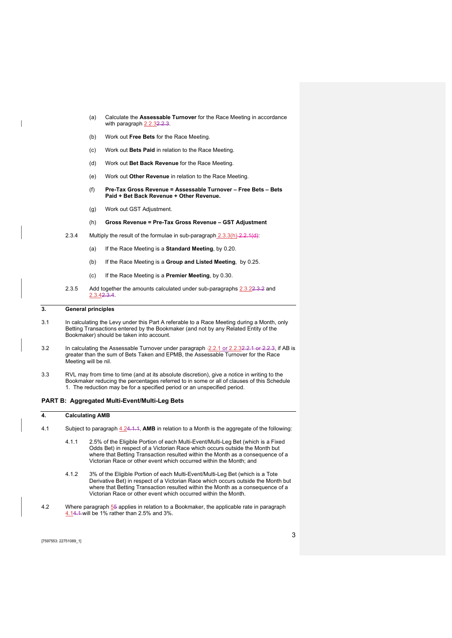- (a) Calculate the Assessable Turnover for the Race Meeting in accordance with paragraph 2.2.32.2.3.
- (b) Work out Free Bets for the Race Meeting.
- (c) Work out Bets Paid in relation to the Race Meeting.
- (d) Work out Bet Back Revenue for the Race Meeting.
- (e) Work out Other Revenue in relation to the Race Meeting.
- (f) Pre-Tax Gross Revenue = Assessable Turnover Free Bets Bets Paid + Bet Back Revenue + Other Revenue.
- (g) Work out GST Adjustment.
- (h) Gross Revenue = Pre-Tax Gross Revenue GST Adjustment
- 2.3.4 Multiply the result of the formulae in sub-paragraph  $2.3.3(h)$   $2.2.1(d)$ :
	- (a) If the Race Meeting is a **Standard Meeting**, by 0.20.
	- (b) If the Race Meeting is a Group and Listed Meeting, by 0.25.
	- (c) If the Race Meeting is a Premier Meeting, by 0.30.
- 2.3.5 Add together the amounts calculated under sub-paragraphs 2.3.22.3.2 and 2.3.42.3.4.

#### 3. General principles

- 3.1 In calculating the Levy under this Part A referable to a Race Meeting during a Month, only Betting Transactions entered by the Bookmaker (and not by any Related Entity of the Bookmaker) should be taken into account.
- 3.2 In calculating the Assessable Turnover under paragraph -2.2.1 or 2.2.32.2.1 or 2.2.3, if AB is greater than the sum of Bets Taken and EPMB, the Assessable Turnover for the Race Meeting will be nil.
- 3.3 RVL may from time to time (and at its absolute discretion), give a notice in writing to the Bookmaker reducing the percentages referred to in some or all of clauses of this Schedule 1. The reduction may be for a specified period or an unspecified period.

#### PART B: Aggregated Multi-Event/Multi-Leg Bets

#### 4. Calculating AMB

- 4.1 Subject to paragraph 4.24.1.1, AMB in relation to a Month is the aggregate of the following:
	- 4.1.1 2.5% of the Eligible Portion of each Multi-Event/Multi-Leg Bet (which is a Fixed Odds Bet) in respect of a Victorian Race which occurs outside the Month but where that Betting Transaction resulted within the Month as a consequence of a Victorian Race or other event which occurred within the Month; and
	- 4.1.2 3% of the Eligible Portion of each Multi-Event/Multi-Leg Bet (which is a Tote Derivative Bet) in respect of a Victorian Race which occurs outside the Month but where that Betting Transaction resulted within the Month as a consequence of a Victorian Race or other event which occurred within the Month.
- 4.2 Where paragraph  $55$  applies in relation to a Bookmaker, the applicable rate in paragraph 4.14.1 will be 1% rather than 2.5% and 3%.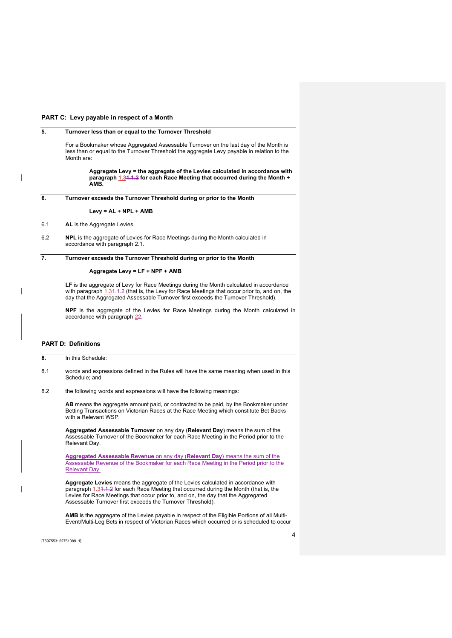#### PART C: Levy payable in respect of a Month

### 5. Turnover less than or equal to the Turnover Threshold

For a Bookmaker whose Aggregated Assessable Turnover on the last day of the Month is less than or equal to the Turnover Threshold the aggregate Levy payable in relation to the Month are:

> Aggregate Levy = the aggregate of the Levies calculated in accordance with paragraph 1.31.1.2 for each Race Meeting that occurred during the Month + AMB.

6. Turnover exceeds the Turnover Threshold during or prior to the Month

#### Levy = AL + NPL + AMB

- 6.1 AL is the Aggregate Levies.
- 6.2 NPL is the aggregate of Levies for Race Meetings during the Month calculated in accordance with paragraph 2.1.

#### 7. Turnover exceeds the Turnover Threshold during or prior to the Month

#### Aggregate Levy = LF + NPF + AMB

LF is the aggregate of Levy for Race Meetings during the Month calculated in accordance with paragraph 1.31.1.2 (that is, the Levy for Race Meetings that occur prior to, and on, the day that the Aggregated Assessable Turnover first exceeds the Turnover Threshold).

NPF is the aggregate of the Levies for Race Meetings during the Month calculated in accordance with paragraph 22.

#### PART D: Definitions

8. In this Schedule:

- 8.1 words and expressions defined in the Rules will have the same meaning when used in this Schedule; and
- 8.2 the following words and expressions will have the following meanings:

AB means the aggregate amount paid, or contracted to be paid, by the Bookmaker under Betting Transactions on Victorian Races at the Race Meeting which constitute Bet Backs with a Relevant WSP.

Aggregated Assessable Turnover on any day (Relevant Day) means the sum of the Assessable Turnover of the Bookmaker for each Race Meeting in the Period prior to the Relevant Day.

Aggregated Assessable Revenue on any day (Relevant Day) means the sum of the Assessable Revenue of the Bookmaker for each Race Meeting in the Period prior to the Relevant Day.

Aggregate Levies means the aggregate of the Levies calculated in accordance with paragraph 1.31.1.2 for each Race Meeting that occurred during the Month (that is, the Levies for Race Meetings that occur prior to, and on, the day that the Aggregated Assessable Turnover first exceeds the Turnover Threshold).

AMB is the aggregate of the Levies payable in respect of the Eligible Portions of all Multi-Event/Multi-Leg Bets in respect of Victorian Races which occurred or is scheduled to occur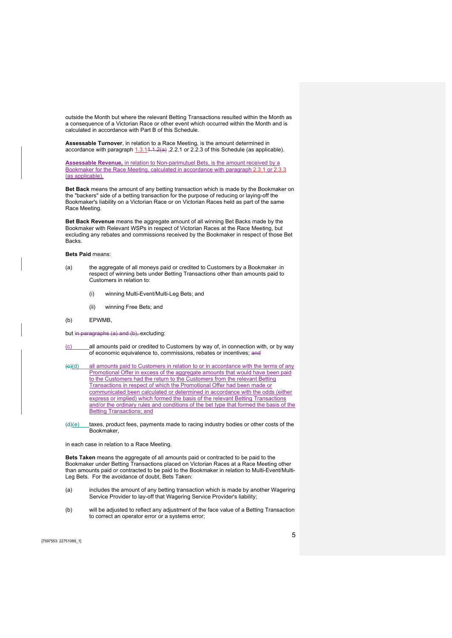outside the Month but where the relevant Betting Transactions resulted within the Month as a consequence of a Victorian Race or other event which occurred within the Month and is calculated in accordance with Part B of this Schedule.

Assessable Turnover, in relation to a Race Meeting, is the amount determined in accordance with paragraph  $1.3.14.1.2(a)$ , 2.2.1 or 2.2.3 of this Schedule (as applicable).

Assessable Revenue, in relation to Non-parimutuel Bets, is the amount received by a Bookmaker for the Race Meeting, calculated in accordance with paragraph 2.3.1 or 2.3.3 (as applicable).

Bet Back means the amount of any betting transaction which is made by the Bookmaker on the "backers" side of a betting transaction for the purpose of reducing or laying-off the Bookmaker's liability on a Victorian Race or on Victorian Races held as part of the same Race Meeting.

Bet Back Revenue means the aggregate amount of all winning Bet Backs made by the Bookmaker with Relevant WSPs in respect of Victorian Races at the Race Meeting, but excluding any rebates and commissions received by the Bookmaker in respect of those Bet **Backs** 

#### Bets Paid means:

- (a) the aggregate of all moneys paid or credited to Customers by a Bookmaker in respect of winning bets under Betting Transactions other than amounts paid to Customers in relation to:
	- (i) winning Multi-Event/Multi-Leg Bets; and
	- (ii) winning Free Bets; and
- (b) EPWMB,

#### but in paragraphs (a) and (b), excluding:

- (c) all amounts paid or credited to Customers by way of, in connection with, or by way of economic equivalence to, commissions, rebates or incentives; and
- (c)(d) all amounts paid to Customers in relation to or in accordance with the terms of any Promotional Offer in excess of the aggregate amounts that would have been paid to the Customers had the return to the Customers from the relevant Betting Transactions in respect of which the Promotional Offer had been made or communicated been calculated or determined in accordance with the odds (either express or implied) which formed the basis of the relevant Betting Transactions and/or the ordinary rules and conditions of the bet type that formed the basis of the Betting Transactions; and
- $(d)(e)$  taxes, product fees, payments made to racing industry bodies or other costs of the Bookmaker,

in each case in relation to a Race Meeting.

Bets Taken means the aggregate of all amounts paid or contracted to be paid to the Bookmaker under Betting Transactions placed on Victorian Races at a Race Meeting other than amounts paid or contracted to be paid to the Bookmaker in relation to Multi-Event/Multi-Leg Bets. For the avoidance of doubt, Bets Taken:

- (a) includes the amount of any betting transaction which is made by another Wagering Service Provider to lay-off that Wagering Service Provider's liability;
- (b) will be adjusted to reflect any adjustment of the face value of a Betting Transaction to correct an operator error or a systems error;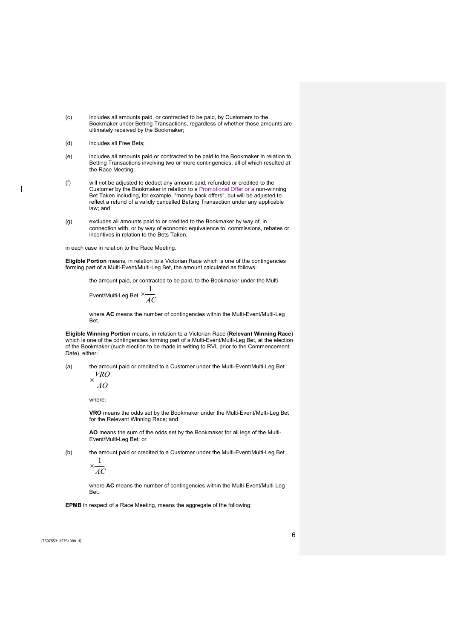- (c) includes all amounts paid, or contracted to be paid, by Customers to the Bookmaker under Betting Transactions, regardless of whether those amounts are ultimately received by the Bookmaker;
- (d) includes all Free Bets;
- (e) includes all amounts paid or contracted to be paid to the Bookmaker in relation to Betting Transactions involving two or more contingencies, all of which resulted at the Race Meeting;
- (f) will not be adjusted to deduct any amount paid, refunded or credited to the Customer by the Bookmaker in relation to a Promotional Offer or a non-winning Bet Taken including, for example, "money back offers", but will be adjusted to reflect a refund of a validly cancelled Betting Transaction under any applicable law; and
- (g) excludes all amounts paid to or credited to the Bookmaker by way of, in connection with, or by way of economic equivalence to, commissions, rebates or incentives in relation to the Bets Taken,

in each case in relation to the Race Meeting.

Eligible Portion means, in relation to a Victorian Race which is one of the contingencies forming part of a Multi-Event/Multi-Leg Bet, the amount calculated as follows:

the amount paid, or contracted to be paid, to the Bookmaker under the Multi-

Event/Multi-Leg Bet  $\times \frac{1}{AC}$  $x-\frac{1}{x}$ 

where **AC** means the number of contingencies within the Multi-Event/Multi-Leg Bet.

Eligible Winning Portion means, in relation to a Victorian Race (Relevant Winning Race) which is one of the contingencies forming part of a Multi-Event/Multi-Leg Bet, at the election of the Bookmaker (such election to be made in writing to RVL prior to the Commencement Date), either:

(a) the amount paid or credited to a Customer under the Multi-Event/Multi-Leg Bet  $VDO$ 

$$
\times \frac{10}{40}
$$

where:

VRO means the odds set by the Bookmaker under the Multi-Event/Multi-Leg Bet for the Relevant Winning Race; and

AO means the sum of the odds set by the Bookmaker for all legs of the Multi-Event/Multi-Leg Bet; or

(b) the amount paid or credited to a Customer under the Multi-Event/Multi-Leg Bet 1

$$
\times \frac{1}{AC}
$$

where AC means the number of contingencies within the Multi-Event/Multi-Leg **Bet** 

EPMB in respect of a Race Meeting, means the aggregate of the following: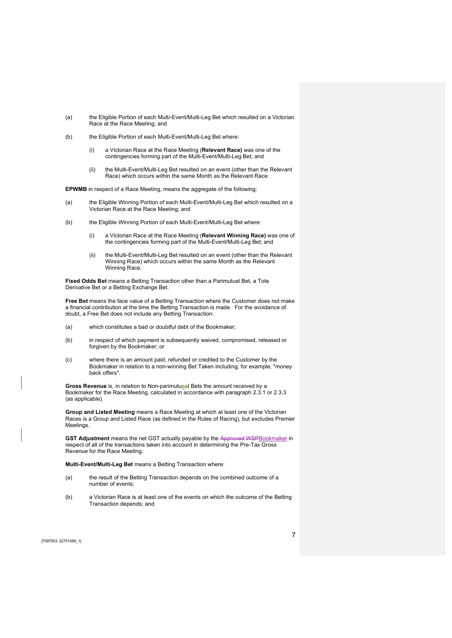- (a) the Eligible Portion of each Multi-Event/Multi-Leg Bet which resulted on a Victorian Race at the Race Meeting; and
- (b) the Eligible Portion of each Multi-Event/Multi-Leg Bet where:
	- (i) a Victorian Race at the Race Meeting (Relevant Race) was one of the contingencies forming part of the Multi-Event/Multi-Leg Bet; and
	- (ii) the Multi-Event/Multi-Leg Bet resulted on an event (other than the Relevant Race) which occurs within the same Month as the Relevant Race.

EPWMB in respect of a Race Meeting, means the aggregate of the following:

- (a) the Eligible Winning Portion of each Multi-Event/Multi-Leg Bet which resulted on a Victorian Race at the Race Meeting; and
- (b) the Eligible Winning Portion of each Multi-Event/Multi-Leg Bet where:
	- (i) a Victorian Race at the Race Meeting (Relevant Winning Race) was one of the contingencies forming part of the Multi-Event/Multi-Leg Bet; and
	- (ii) the Multi-Event/Multi-Leg Bet resulted on an event (other than the Relevant Winning Race) which occurs within the same Month as the Relevant Winning Race.

Fixed Odds Bet means a Betting Transaction other than a Parimutuel Bet, a Tote Derivative Bet or a Betting Exchange Bet.

Free Bet means the face value of a Betting Transaction where the Customer does not make a financial contribution at the time the Betting Transaction is made. For the avoidance of doubt, a Free Bet does not include any Betting Transaction:

- (a) which constitutes a bad or doubtful debt of the Bookmaker;
- (b) in respect of which payment is subsequently waived, compromised, released or forgiven by the Bookmaker; or
- (c) where there is an amount paid, refunded or credited to the Customer by the Bookmaker in relation to a non-winning Bet Taken including, for example, "money back offers".

Gross Revenue is, in relation to Non-parimutueal Bets the amount received by a Bookmaker for the Race Meeting, calculated in accordance with paragraph 2.3.1 or 2.3.3 (as applicable).

Group and Listed Meeting means a Race Meeting at which at least one of the Victorian Races is a Group and Listed Race (as defined in the Rules of Racing), but excludes Premier **Meetings** 

GST Adjustment means the net GST actually payable by the Approved WSPBookmaker in respect of all of the transactions taken into account in determining the Pre-Tax Gross Revenue for the Race Meeting.

Multi-Event/Multi-Leg Bet means a Betting Transaction where:

- (a) the result of the Betting Transaction depends on the combined outcome of a number of events;
- (b) a Victorian Race is at least one of the events on which the outcome of the Betting Transaction depends; and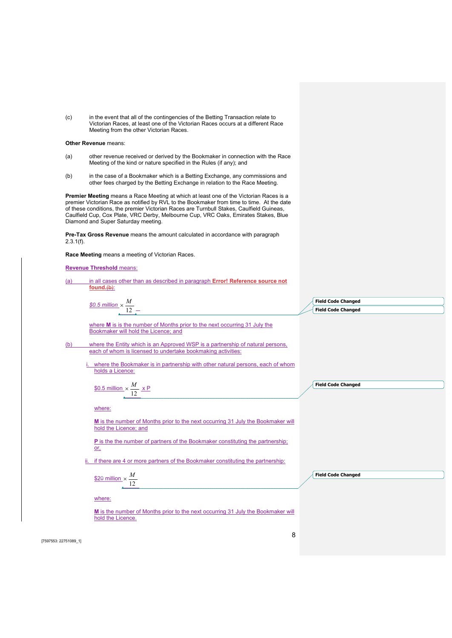(c) in the event that all of the contingencies of the Betting Transaction relate to Victorian Races, at least one of the Victorian Races occurs at a different Race Meeting from the other Victorian Races.

#### Other Revenue means:

- (a) other revenue received or derived by the Bookmaker in connection with the Race Meeting of the kind or nature specified in the Rules (if any); and
- (b) in the case of a Bookmaker which is a Betting Exchange, any commissions and other fees charged by the Betting Exchange in relation to the Race Meeting.

Premier Meeting means a Race Meeting at which at least one of the Victorian Races is a premier Victorian Race as notified by RVL to the Bookmaker from time to time. At the date of these conditions, the premier Victorian Races are Turnbull Stakes, Caulfield Guineas, Caulfield Cup, Cox Plate, VRC Derby, Melbourne Cup, VRC Oaks, Emirates Stakes, Blue Diamond and Super Saturday meeting.

Pre-Tax Gross Revenue means the amount calculated in accordance with paragraph 2.3.1(f).

Race Meeting means a meeting of Victorian Races.

#### Revenue Threshold means:

| (a)         | in all cases other than as described in paragraph Error! Reference source not<br>$found. (b)$ :                                                |                           |
|-------------|------------------------------------------------------------------------------------------------------------------------------------------------|---------------------------|
|             |                                                                                                                                                |                           |
|             | <u>\$0.5 million</u> $\times \frac{M}{12}$                                                                                                     | <b>Field Code Changed</b> |
|             |                                                                                                                                                | <b>Field Code Changed</b> |
|             | where M is is the number of Months prior to the next occurring 31 July the<br>Bookmaker will hold the Licence; and                             |                           |
| (b)         | where the Entity which is an Approved WSP is a partnership of natural persons,<br>each of whom is licensed to undertake bookmaking activities: |                           |
|             | where the Bookmaker is in partnership with other natural persons, each of whom<br>holds a Licence:                                             |                           |
|             | \$0.5 million $\times \frac{M}{12} \times P$                                                                                                   | <b>Field Code Changed</b> |
|             | where:                                                                                                                                         |                           |
|             | M is the number of Months prior to the next occurring 31 July the Bookmaker will<br>hold the Licence; and                                      |                           |
|             | <b>P</b> is the the number of partners of the Bookmaker constituting the partnership;<br>or,                                                   |                           |
|             | if there are 4 or more partners of the Bookmaker constituting the partnership:                                                                 |                           |
|             | \$20 million $\times \frac{M}{12}$                                                                                                             | <b>Field Code Changed</b> |
|             | where:                                                                                                                                         |                           |
|             | M is the number of Months prior to the next occurring 31 July the Bookmaker will<br>hold the Licence.                                          |                           |
| 22751090 11 | 8                                                                                                                                              |                           |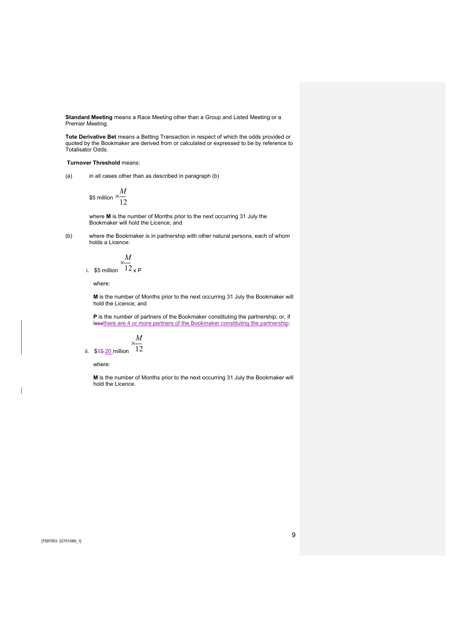Standard Meeting means a Race Meeting other than a Group and Listed Meeting or a Premier Meeting.

Tote Derivative Bet means a Betting Transaction in respect of which the odds provided or quoted by the Bookmaker are derived from or calculated or expressed to be by reference to Totalisator Odds.

#### Turnover Threshold means:

(a) in all cases other than as described in paragraph (b)

\$5 million 
$$
\times \frac{M}{12}
$$

where M is the number of Months prior to the next occurring 31 July the Bookmaker will hold the Licence; and

(b) where the Bookmaker is in partnership with other natural persons, each of whom holds a Licence:

$$
\frac{M}{12} \times \frac{1}{P}
$$
 million 12 x P

where:

i. \$5

M is the number of Months prior to the next occurring 31 July the Bookmaker will hold the Licence; and

P is the number of partners of the Bookmaker constituting the partnership; or, if lessthere are 4 or more partners of the Bookmaker constituting the partnership:

$$
\times \frac{M}{\cdot}
$$

ii.  $$45-20$  million  $12$ 

where:

M is the number of Months prior to the next occurring 31 July the Bookmaker will hold the Licence.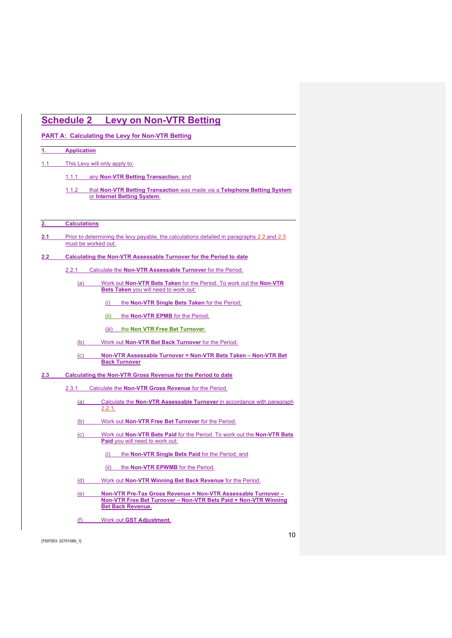# Schedule 2 Levy on Non-VTR Betting PART A: Calculating the Levy for Non-VTR Betting 1. Application 1.1 This Levy will only apply to: 1.1.1 any Non-VTR Betting Transaction; and 1.1.2 that Non-VTR Betting Transaction was made via a Telephone Betting System or Internet Betting System. 2. Calculations 2.1 Prior to determining the levy payable, the calculations detailed in paragraphs 2.2 and 2.3 must be worked out. 2.2 Calculating the Non-VTR Assessable Turnover for the Period to date 2.2.1 Calculate the Non-VTR Assessable Turnover for the Period. (a) Work out Non-VTR Bets Taken for the Period. To work out the Non-VTR Bets Taken you will need to work out: (i) the Non-VTR Single Bets Taken for the Period; (ii) the Non-VTR EPMB for the Period; (iii) the Non VTR Free Bet Turnover. (b) Work out Non-VTR Bet Back Turnover for the Period. (c) Non-VTR Assessable Turnover = Non-VTR Bets Taken – Non-VTR Bet Back Turnover 2.3 Calculating the Non-VTR Gross Revenue for the Period to date 2.3.1 Calculate the Non-VTR Gross Revenue for the Period. (a) Calculate the Non-VTR Assessable Turnover in accordance with paragraph 2.2.1. (b) Work out Non-VTR Free Bet Turnover for the Period. (c) Work out Non-VTR Bets Paid for the Period. To work out the Non-VTR Bets Paid you will need to work out: (i) the Non-VTR Single Bets Paid for the Period; and (ii) the **Non-VTR EPWMB** for the Period. (d) Work out Non-VTR Winning Bet Back Revenue for the Period. (e) Non-VTR Pre-Tax Gross Revenue = Non-VTR Assessable Turnover – Non-VTR Free Bet Turnover – Non-VTR Bets Paid + Non-VTR Winning Bet Back Revenue.

(f) Work out GST Adjustment.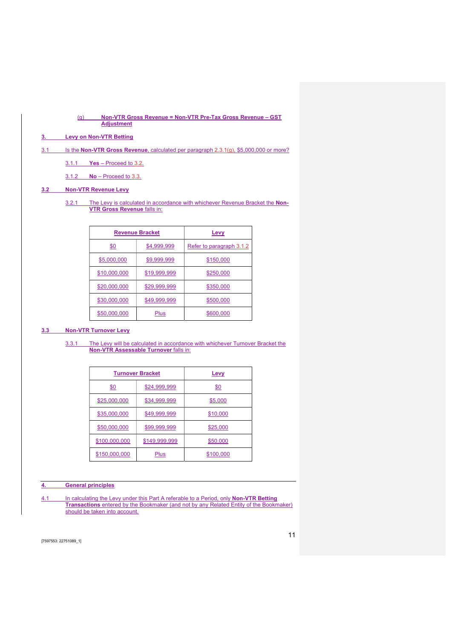#### (g) Non-VTR Gross Revenue = Non-VTR Pre-Tax Gross Revenue – GST Adjustment

# 3. Levy on Non-VTR Betting

- 3.1 Is the Non-VTR Gross Revenue, calculated per paragraph 2.3.1(g), \$5,000,000 or more?
	- 3.1.1 Yes Proceed to 3.2.

3.1.2 No – Proceed to 3.3.

# 3.2 Non-VTR Revenue Levy

### 3.2.1 The Levy is calculated in accordance with whichever Revenue Bracket the Non-VTR Gross Revenue falls in:

|                    | <b>Revenue Bracket</b> | Levy                            |
|--------------------|------------------------|---------------------------------|
| <u>\$0</u>         | <u>\$4,999,999</u>     | <u>Refer to paragraph 3.1.2</u> |
| <u>\$5,000,000</u> | <u>\$9,999,999</u>     | <u>\$150,000</u>                |
| \$10,000,000       | \$19,999,999           | \$250,000                       |
| \$20,000,000       | \$29,999,999           | \$350,000                       |
| \$30,000,000       | \$49,999,999           | \$500,000                       |
| \$50,000,000       | Plus                   | \$600,000                       |

#### 3.3 Non-VTR Turnover Levy

3.3.1 The Levy will be calculated in accordance with whichever Turnover Bracket the Non-VTR Assessable Turnover falls in:

|               | <b>Turnover Bracket</b> | Levy      |
|---------------|-------------------------|-----------|
| \$0           | \$24,999,999            | \$0       |
| \$25,000,000  | <u>\$34,999,999</u>     | \$5,000   |
| \$35,000,000  | \$49,999,999            | \$10,000  |
| \$50,000,000  | \$99,999,999            | \$25,000  |
| \$100,000,000 | \$149,999,999           | \$50,000  |
| \$150,000,000 | Plus                    | \$100,000 |

#### 4. General principles

4.1 In calculating the Levy under this Part A referable to a Period, only **Non-VTR Betting Transactions** entered by the Bookmaker (and not by any Related Entity of the Bookmaker) should be taken into account.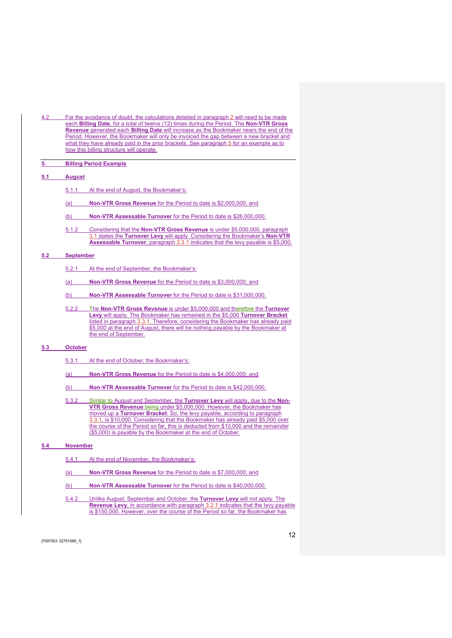4.2 For the avoidance of doubt, the calculations detailed in paragraph 2 will need to be made each Billing Date, for a total of twelve (12) times during the Period. The Non-VTR Gross Revenue generated each Billing Date will increase as the Bookmaker nears the end of the Period. However, the Bookmaker will only be invoiced the gap between a new bracket and what they have already paid in the prior brackets. See paragraph 5 for an example as to how this billing structure will operate.

#### 5. Billing Period Example

#### 5.1 August

- 5.1.1 At the end of August, the Bookmaker's:
- (a) Non-VTR Gross Revenue for the Period to date is \$2,000,000; and
- (b) Non-VTR Assessable Turnover for the Period to date is \$26,000,000.
- 5.1.2 Considering that the Non-VTR Gross Revenue is under \$5,000,000, paragraph 3.1 states the Turnover Levy will apply. Considering the Bookmaker's Non-VTR Assessable Turnover, paragraph 3.3.1 indicates that the levy payable is \$5,000.

#### 5.2 September

- 5.2.1 At the end of September, the Bookmaker's:
- (a) Non-VTR Gross Revenue for the Period to date is \$3,000,000; and
- (b) Non-VTR Assessable Turnover for the Period to date is \$31,000,000.
- 5.2.2 The Non-VTR Gross Revenue is under \$5,000,000 and therefore the Turnover Levy will apply. The Bookmaker has remained in the \$5,000 Turnover Bracket listed in paragraph 3.3.1. Therefore, considering the Bookmaker has already paid \$5,000 at the end of August, there will be nothing payable by the Bookmaker at the end of September.

#### 5.3 October

- 5.3.1 At the end of October, the Bookmaker's:
- (a) Non-VTR Gross Revenue for the Period to date is \$4,000,000; and
- (b) Non-VTR Assessable Turnover for the Period to date is \$42,000,000.
- 5.3.2 Similar to August and September, the Turnover Levy will apply, due to the Non-VTR Gross Revenue being under \$5,000,000. However, the Bookmaker has moved up a **Turnover Bracket**. So, the levy payable, according to paragraph 3.3.1, is \$10,000. Considering that the Bookmaker has already paid \$5,000 over the course of the Period so far, this is deducted from \$10,000 and the remainder (\$5,000) is payable by the Bookmaker at the end of October.

#### 5.4 November

- 5.4.1 At the end of November, the Bookmaker's:
- (a) Non-VTR Gross Revenue for the Period to date is \$7,000,000; and
- (b) Non-VTR Assessable Turnover for the Period to date is \$40,000,000.
- 5.4.2 Unlike August, September and October, the Turnover Levy will not apply. The Revenue Levy, in accordance with paragraph 3.2.1 indicates that the levy payable is \$150,000. However, over the course of the Period so far, the Bookmaker has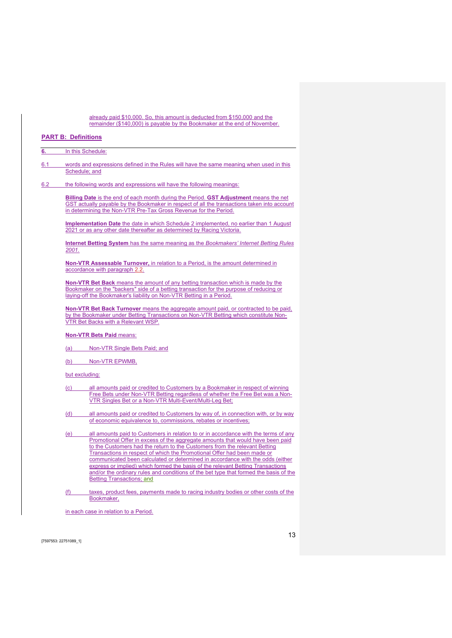already paid \$10,000. So, this amount is deducted from \$150,000 and the remainder (\$140,000) is payable by the Bookmaker at the end of November.

# PART B: Definitions

|       | In this Schedule:                                                                                                                                                                                                                                                      |
|-------|------------------------------------------------------------------------------------------------------------------------------------------------------------------------------------------------------------------------------------------------------------------------|
|       | words and expressions defined in the Rules will have the same meaning when used in this<br>Schedule; and                                                                                                                                                               |
|       | the following words and expressions will have the following meanings:                                                                                                                                                                                                  |
|       | <b>Billing Date</b> is the end of each month during the Period. <b>GST Adjustment</b> means the net<br>GST actually payable by the Bookmaker in respect of all the transactions taken into account<br>in determining the Non-VTR Pre-Tax Gross Revenue for the Period. |
|       | <b>Implementation Date</b> the date in which Schedule 2 implemented, no earlier than 1 August<br>2021 or as any other date thereafter as determined by Racing Victoria.                                                                                                |
| 2001. | <b>Internet Betting System</b> has the same meaning as the <i>Bookmakers' Internet Betting Rules</i>                                                                                                                                                                   |
|       | <b>Non-VTR Assessable Turnover, in relation to a Period, is the amount determined in</b><br>accordance with paragraph 2.2.                                                                                                                                             |
|       | <b>Non-VTR Bet Back</b> means the amount of any betting transaction which is made by the<br>Bookmaker on the "backers" side of a betting transaction for the purpose of reducing or<br>laying-off the Bookmaker's liability on Non-VTR Betting in a Period.            |
|       |                                                                                                                                                                                                                                                                        |
|       | <b>Non-VTR Bet Back Turnover</b> means the aggregate amount paid, or contracted to be paid,<br>by the Bookmaker under Betting Transactions on Non-VTR Betting which constitute Non-<br>VTR Bet Backs with a Relevant WSP.                                              |
|       | <b>Non-VTR Bets Paid means:</b>                                                                                                                                                                                                                                        |
| (a)   | Non-VTR Single Bets Paid; and                                                                                                                                                                                                                                          |
|       | (b) Non-VTR EPWMB,                                                                                                                                                                                                                                                     |
|       | but excluding:                                                                                                                                                                                                                                                         |
| (C)   | all amounts paid or credited to Customers by a Bookmaker in respect of winning<br>Free Bets under Non-VTR Betting regardless of whether the Free Bet was a Non-<br>VTR Singles Bet or a Non-VTR Multi-Event/Multi-Leg Bet;                                             |
| (d)   | all amounts paid or credited to Customers by way of, in connection with, or by way                                                                                                                                                                                     |
|       | of economic equivalence to, commissions, rebates or incentives;                                                                                                                                                                                                        |

(f) taxes, product fees, payments made to racing industry bodies or other costs of the Bookmaker,

in each case in relation to a Period.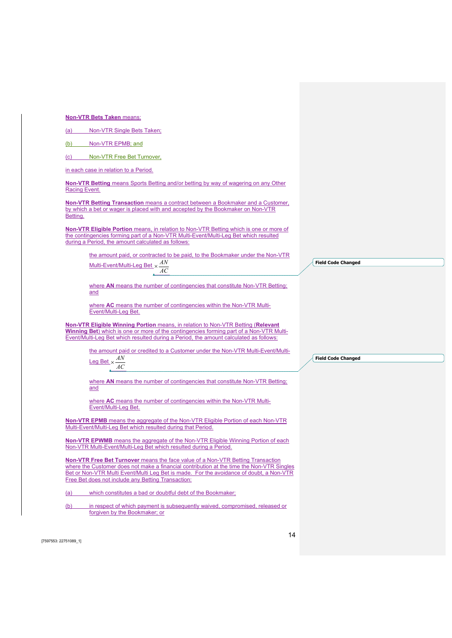Non-VTR Bets Taken means:

| (a) |  | Non-VTR Single Bets Taken: |  |
|-----|--|----------------------------|--|
|-----|--|----------------------------|--|

|--|

(c) Non-VTR Free Bet Turnover,

in each case in relation to a Period.

Non-VTR Betting means Sports Betting and/or betting by way of wagering on any Other Racing Event.

Non-VTR Betting Transaction means a contract between a Bookmaker and a Customer, by which a bet or wager is placed with and accepted by the Bookmaker on Non-VTR Betting.

Non-VTR Eligible Portion means, in relation to Non-VTR Betting which is one or more of the contingencies forming part of a Non-VTR Multi-Event/Multi-Leg Bet which resulted during a Period, the amount calculated as follows:

> the amount paid, or contracted to be paid, to the Bookmaker under the Non-VTR <u>Multi-Event/Multi-Leg Bet</u>  $\times \frac{AN}{A}$

AC

where AN means the number of contingencies that constitute Non-VTR Betting; and

where AC means the number of contingencies within the Non-VTR Multi-Event/Multi-Leg Bet.

Non-VTR Eligible Winning Portion means, in relation to Non-VTR Betting (Relevant Winning Bet) which is one or more of the contingencies forming part of a Non-VTR Multi-Event/Multi-Leg Bet which resulted during a Period, the amount calculated as follows:

> the amount paid or credited to a Customer under the Non-VTR Multi-Event/Multi-Leg Bet  $\times \frac{AN}{1}$

AC

where AN means the number of contingencies that constitute Non-VTR Betting; and

where AC means the number of contingencies within the Non-VTR Multi-Event/Multi-Leg Bet.

Non-VTR EPMB means the aggregate of the Non-VTR Eligible Portion of each Non-VTR Multi-Event/Multi-Leg Bet which resulted during that Period.

Non-VTR EPWMB means the aggregate of the Non-VTR Eligible Winning Portion of each Non-VTR Multi-Event/Multi-Leg Bet which resulted during a Period.

Non-VTR Free Bet Turnover means the face value of a Non-VTR Betting Transaction where the Customer does not make a financial contribution at the time the Non-VTR Singles Bet or Non-VTR Multi Event/Multi Leg Bet is made. For the avoidance of doubt, a Non-VTR Free Bet does not include any Betting Transaction:

(a) which constitutes a bad or doubtful debt of the Bookmaker;

(b) in respect of which payment is subsequently waived, compromised, released or forgiven by the Bookmaker; or

[7597553: 22751089\_1]

Field Code Changed

Field Code Changed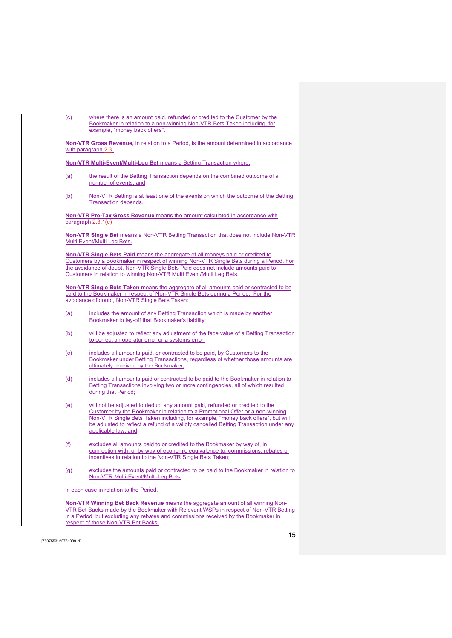(c) where there is an amount paid, refunded or credited to the Customer by the Bookmaker in relation to a non-winning Non-VTR Bets Taken including, for example, "money back offers".

Non-VTR Gross Revenue, in relation to a Period, is the amount determined in accordance with paragraph 2.3.

Non-VTR Multi-Event/Multi-Leg Bet means a Betting Transaction where:

- (a) the result of the Betting Transaction depends on the combined outcome of a number of events; and
- (b) Non-VTR Betting is at least one of the events on which the outcome of the Betting Transaction depends.

Non-VTR Pre-Tax Gross Revenue means the amount calculated in accordance with paragraph 2.3.1(e)

Non-VTR Single Bet means a Non-VTR Betting Transaction that does not include Non-VTR Multi Event/Multi Leg Bets.

Non-VTR Single Bets Paid means the aggregate of all moneys paid or credited to Customers by a Bookmaker in respect of winning Non-VTR Single Bets during a Period. For the avoidance of doubt, Non-VTR Single Bets Paid does not include amounts paid to Customers in relation to winning Non-VTR Multi Event/Multi Leg Bets.

Non-VTR Single Bets Taken means the aggregate of all amounts paid or contracted to be paid to the Bookmaker in respect of Non-VTR Single Bets during a Period. For the avoidance of doubt, Non-VTR Single Bets Taken:

- (a) includes the amount of any Betting Transaction which is made by another Bookmaker to lay-off that Bookmaker's liability;
- (b) will be adjusted to reflect any adjustment of the face value of a Betting Transaction to correct an operator error or a systems error;
- (c) includes all amounts paid, or contracted to be paid, by Customers to the Bookmaker under Betting Transactions, regardless of whether those amounts are ultimately received by the Bookmaker;
- (d) includes all amounts paid or contracted to be paid to the Bookmaker in relation to Betting Transactions involving two or more contingencies, all of which resulted during that Period;
- (e) will not be adjusted to deduct any amount paid, refunded or credited to the Customer by the Bookmaker in relation to a Promotional Offer or a non-winning Non-VTR Single Bets Taken including, for example, "money back offers", but will be adjusted to reflect a refund of a validly cancelled Betting Transaction under any applicable law; and
- (f) excludes all amounts paid to or credited to the Bookmaker by way of, in connection with, or by way of economic equivalence to, commissions, rebates or incentives in relation to the Non-VTR Single Bets Taken;
- (g) excludes the amounts paid or contracted to be paid to the Bookmaker in relation to Non-VTR Multi-Event/Multi-Leg Bets,

in each case in relation to the Period.

Non-VTR Winning Bet Back Revenue means the aggregate amount of all winning Non-VTR Bet Backs made by the Bookmaker with Relevant WSPs in respect of Non-VTR Betting in a Period, but excluding any rebates and commissions received by the Bookmaker in respect of those Non-VTR Bet Backs.